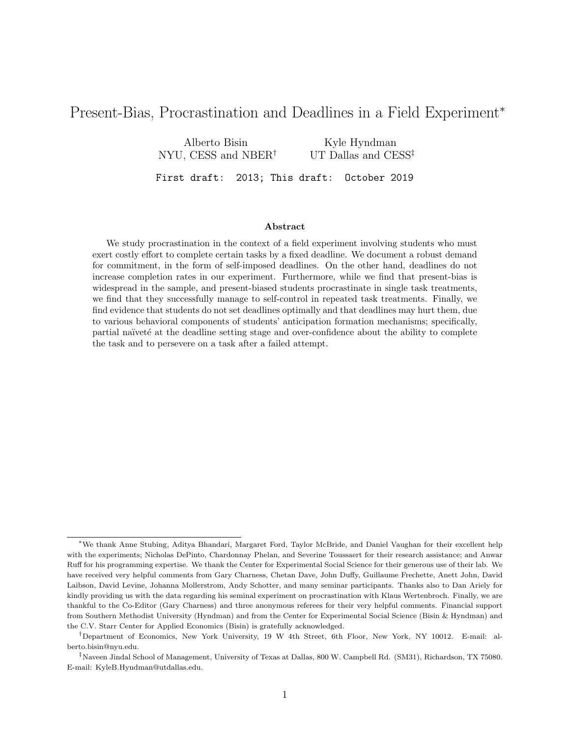# Present-Bias, Procrastination and Deadlines in a Field Experiment<sup>∗</sup>

Alberto Bisin NYU, CESS and NBER† Kyle Hyndman UT Dallas and CESS‡ First draft: 2013; This draft: October 2019

### Abstract

We study procrastination in the context of a field experiment involving students who must exert costly effort to complete certain tasks by a fixed deadline. We document a robust demand for commitment, in the form of self-imposed deadlines. On the other hand, deadlines do not increase completion rates in our experiment. Furthermore, while we find that present-bias is widespread in the sample, and present-biased students procrastinate in single task treatments, we find that they successfully manage to self-control in repeated task treatments. Finally, we find evidence that students do not set deadlines optimally and that deadlines may hurt them, due to various behavioral components of students' anticipation formation mechanisms; specifically, partial naïveté at the deadline setting stage and over-confidence about the ability to complete the task and to persevere on a task after a failed attempt.

<sup>∗</sup>We thank Anne Stubing, Aditya Bhandari, Margaret Ford, Taylor McBride, and Daniel Vaughan for their excellent help with the experiments; Nicholas DePinto, Chardonnay Phelan, and Severine Toussaert for their research assistance; and Anwar Ruff for his programming expertise. We thank the Center for Experimental Social Science for their generous use of their lab. We have received very helpful comments from Gary Charness, Chetan Dave, John Duffy, Guillaume Frechette, Anett John, David Laibson, David Levine, Johanna Mollerstrom, Andy Schotter, and many seminar participants. Thanks also to Dan Ariely for kindly providing us with the data regarding his seminal experiment on procrastination with Klaus Wertenbroch. Finally, we are thankful to the Co-Editor (Gary Charness) and three anonymous referees for their very helpful comments. Financial support from Southern Methodist University (Hyndman) and from the Center for Experimental Social Science (Bisin & Hyndman) and the C.V. Starr Center for Applied Economics (Bisin) is gratefully acknowledged.

<sup>†</sup>Department of Economics, New York University, 19 W 4th Street, 6th Floor, New York, NY 10012. E-mail: alberto.bisin@nyu.edu.

<sup>‡</sup>Naveen Jindal School of Management, University of Texas at Dallas, 800 W. Campbell Rd. (SM31), Richardson, TX 75080. E-mail: KyleB.Hyndman@utdallas.edu.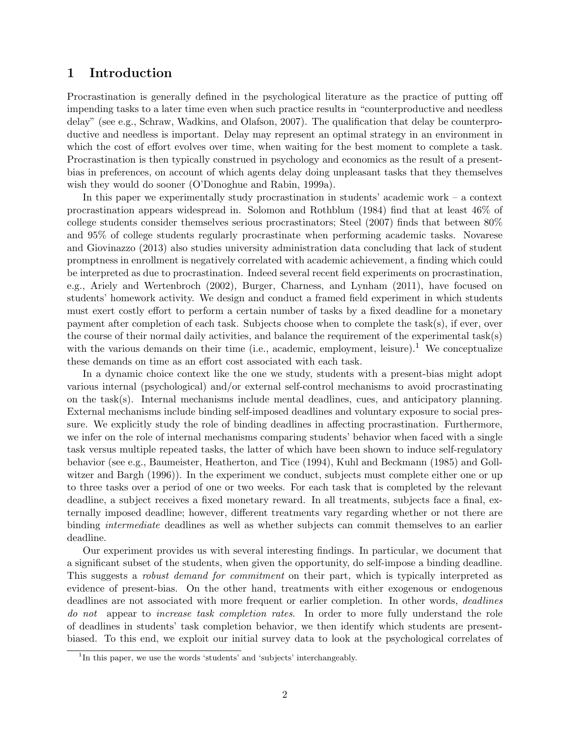## 1 Introduction

Procrastination is generally defined in the psychological literature as the practice of putting off impending tasks to a later time even when such practice results in "counterproductive and needless delay" (see e.g., Schraw, Wadkins, and Olafson, 2007). The qualification that delay be counterproductive and needless is important. Delay may represent an optimal strategy in an environment in which the cost of effort evolves over time, when waiting for the best moment to complete a task. Procrastination is then typically construed in psychology and economics as the result of a presentbias in preferences, on account of which agents delay doing unpleasant tasks that they themselves wish they would do sooner (O'Donoghue and Rabin, 1999a).

In this paper we experimentally study procrastination in students' academic work – a context procrastination appears widespread in. Solomon and Rothblum (1984) find that at least 46% of college students consider themselves serious procrastinators; Steel (2007) finds that between 80% and 95% of college students regularly procrastinate when performing academic tasks. Novarese and Giovinazzo (2013) also studies university administration data concluding that lack of student promptness in enrollment is negatively correlated with academic achievement, a finding which could be interpreted as due to procrastination. Indeed several recent field experiments on procrastination, e.g., Ariely and Wertenbroch (2002), Burger, Charness, and Lynham (2011), have focused on students' homework activity. We design and conduct a framed field experiment in which students must exert costly effort to perform a certain number of tasks by a fixed deadline for a monetary payment after completion of each task. Subjects choose when to complete the task(s), if ever, over the course of their normal daily activities, and balance the requirement of the experimental task(s) with the various demands on their time (i.e., academic, employment, leisure).<sup>1</sup> We conceptualize these demands on time as an effort cost associated with each task.

In a dynamic choice context like the one we study, students with a present-bias might adopt various internal (psychological) and/or external self-control mechanisms to avoid procrastinating on the task(s). Internal mechanisms include mental deadlines, cues, and anticipatory planning. External mechanisms include binding self-imposed deadlines and voluntary exposure to social pressure. We explicitly study the role of binding deadlines in affecting procrastination. Furthermore, we infer on the role of internal mechanisms comparing students' behavior when faced with a single task versus multiple repeated tasks, the latter of which have been shown to induce self-regulatory behavior (see e.g., Baumeister, Heatherton, and Tice (1994), Kuhl and Beckmann (1985) and Gollwitzer and Bargh (1996)). In the experiment we conduct, subjects must complete either one or up to three tasks over a period of one or two weeks. For each task that is completed by the relevant deadline, a subject receives a fixed monetary reward. In all treatments, subjects face a final, externally imposed deadline; however, different treatments vary regarding whether or not there are binding intermediate deadlines as well as whether subjects can commit themselves to an earlier deadline.

Our experiment provides us with several interesting findings. In particular, we document that a significant subset of the students, when given the opportunity, do self-impose a binding deadline. This suggests a *robust demand for commitment* on their part, which is typically interpreted as evidence of present-bias. On the other hand, treatments with either exogenous or endogenous deadlines are not associated with more frequent or earlier completion. In other words, deadlines do not appear to *increase task completion rates*. In order to more fully understand the role of deadlines in students' task completion behavior, we then identify which students are presentbiased. To this end, we exploit our initial survey data to look at the psychological correlates of

<sup>&</sup>lt;sup>1</sup>In this paper, we use the words 'students' and 'subjects' interchangeably.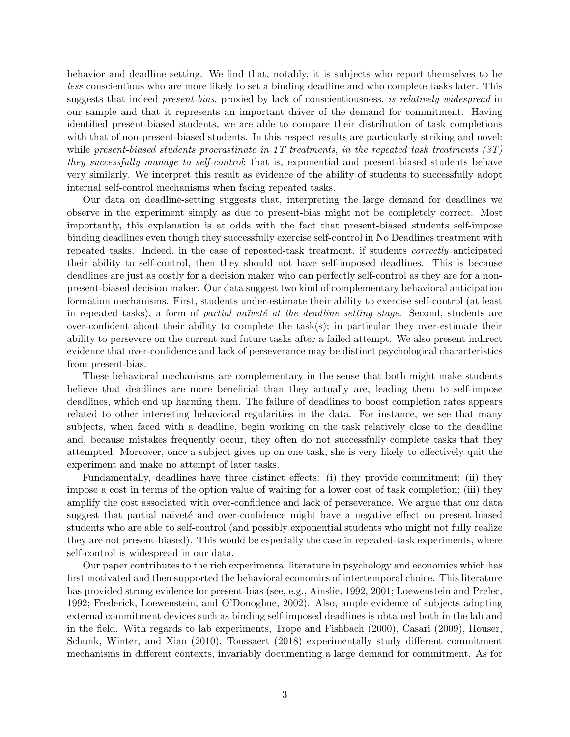behavior and deadline setting. We find that, notably, it is subjects who report themselves to be less conscientious who are more likely to set a binding deadline and who complete tasks later. This suggests that indeed *present-bias*, proxied by lack of conscientiousness, is relatively widespread in our sample and that it represents an important driver of the demand for commitment. Having identified present-biased students, we are able to compare their distribution of task completions with that of non-present-biased students. In this respect results are particularly striking and novel: while present-biased students procrastinate in 1T treatments, in the repeated task treatments  $(3T)$ they successfully manage to self-control; that is, exponential and present-biased students behave very similarly. We interpret this result as evidence of the ability of students to successfully adopt internal self-control mechanisms when facing repeated tasks.

Our data on deadline-setting suggests that, interpreting the large demand for deadlines we observe in the experiment simply as due to present-bias might not be completely correct. Most importantly, this explanation is at odds with the fact that present-biased students self-impose binding deadlines even though they successfully exercise self-control in No Deadlines treatment with repeated tasks. Indeed, in the case of repeated-task treatment, if students correctly anticipated their ability to self-control, then they should not have self-imposed deadlines. This is because deadlines are just as costly for a decision maker who can perfectly self-control as they are for a nonpresent-biased decision maker. Our data suggest two kind of complementary behavioral anticipation formation mechanisms. First, students under-estimate their ability to exercise self-control (at least in repeated tasks), a form of *partial naïveté at the deadline setting stage*. Second, students are over-confident about their ability to complete the task(s); in particular they over-estimate their ability to persevere on the current and future tasks after a failed attempt. We also present indirect evidence that over-confidence and lack of perseverance may be distinct psychological characteristics from present-bias.

These behavioral mechanisms are complementary in the sense that both might make students believe that deadlines are more beneficial than they actually are, leading them to self-impose deadlines, which end up harming them. The failure of deadlines to boost completion rates appears related to other interesting behavioral regularities in the data. For instance, we see that many subjects, when faced with a deadline, begin working on the task relatively close to the deadline and, because mistakes frequently occur, they often do not successfully complete tasks that they attempted. Moreover, once a subject gives up on one task, she is very likely to effectively quit the experiment and make no attempt of later tasks.

Fundamentally, deadlines have three distinct effects: (i) they provide commitment; (ii) they impose a cost in terms of the option value of waiting for a lower cost of task completion; (iii) they amplify the cost associated with over-confidence and lack of perseverance. We argue that our data suggest that partial naïveté and over-confidence might have a negative effect on present-biased students who are able to self-control (and possibly exponential students who might not fully realize they are not present-biased). This would be especially the case in repeated-task experiments, where self-control is widespread in our data.

Our paper contributes to the rich experimental literature in psychology and economics which has first motivated and then supported the behavioral economics of intertemporal choice. This literature has provided strong evidence for present-bias (see, e.g., Ainslie, 1992, 2001; Loewenstein and Prelec, 1992; Frederick, Loewenstein, and O'Donoghue, 2002). Also, ample evidence of subjects adopting external commitment devices such as binding self-imposed deadlines is obtained both in the lab and in the field. With regards to lab experiments, Trope and Fishbach (2000), Casari (2009), Houser, Schunk, Winter, and Xiao (2010), Toussaert (2018) experimentally study different commitment mechanisms in different contexts, invariably documenting a large demand for commitment. As for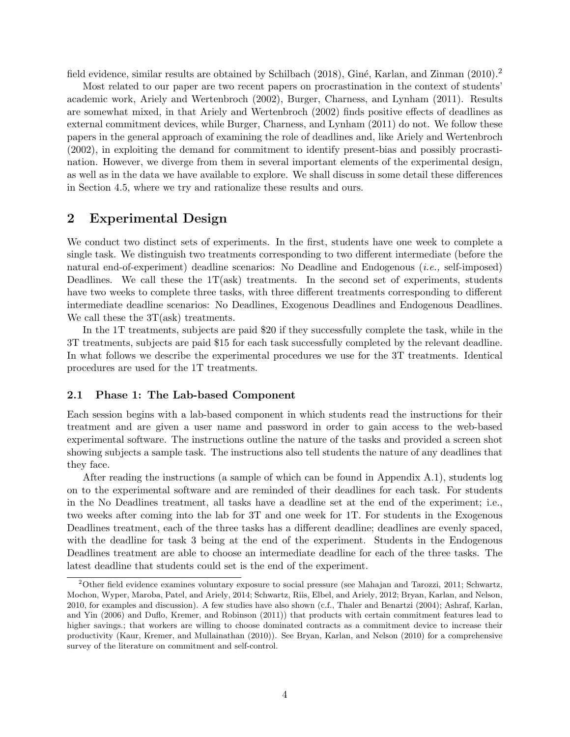field evidence, similar results are obtained by Schilbach (2018), Giné, Karlan, and Zinman (2010).<sup>2</sup>

Most related to our paper are two recent papers on procrastination in the context of students' academic work, Ariely and Wertenbroch (2002), Burger, Charness, and Lynham (2011). Results are somewhat mixed, in that Ariely and Wertenbroch (2002) finds positive effects of deadlines as external commitment devices, while Burger, Charness, and Lynham (2011) do not. We follow these papers in the general approach of examining the role of deadlines and, like Ariely and Wertenbroch (2002), in exploiting the demand for commitment to identify present-bias and possibly procrastination. However, we diverge from them in several important elements of the experimental design, as well as in the data we have available to explore. We shall discuss in some detail these differences in Section 4.5, where we try and rationalize these results and ours.

### 2 Experimental Design

We conduct two distinct sets of experiments. In the first, students have one week to complete a single task. We distinguish two treatments corresponding to two different intermediate (before the natural end-of-experiment) deadline scenarios: No Deadline and Endogenous (i.e., self-imposed) Deadlines. We call these the  $1T(ask)$  treatments. In the second set of experiments, students have two weeks to complete three tasks, with three different treatments corresponding to different intermediate deadline scenarios: No Deadlines, Exogenous Deadlines and Endogenous Deadlines. We call these the  $3T(ask)$  treatments.

In the 1T treatments, subjects are paid \$20 if they successfully complete the task, while in the 3T treatments, subjects are paid \$15 for each task successfully completed by the relevant deadline. In what follows we describe the experimental procedures we use for the 3T treatments. Identical procedures are used for the 1T treatments.

#### 2.1 Phase 1: The Lab-based Component

Each session begins with a lab-based component in which students read the instructions for their treatment and are given a user name and password in order to gain access to the web-based experimental software. The instructions outline the nature of the tasks and provided a screen shot showing subjects a sample task. The instructions also tell students the nature of any deadlines that they face.

After reading the instructions (a sample of which can be found in Appendix A.1), students log on to the experimental software and are reminded of their deadlines for each task. For students in the No Deadlines treatment, all tasks have a deadline set at the end of the experiment; i.e., two weeks after coming into the lab for 3T and one week for 1T. For students in the Exogenous Deadlines treatment, each of the three tasks has a different deadline; deadlines are evenly spaced, with the deadline for task 3 being at the end of the experiment. Students in the Endogenous Deadlines treatment are able to choose an intermediate deadline for each of the three tasks. The latest deadline that students could set is the end of the experiment.

<sup>2</sup>Other field evidence examines voluntary exposure to social pressure (see Mahajan and Tarozzi, 2011; Schwartz, Mochon, Wyper, Maroba, Patel, and Ariely, 2014; Schwartz, Riis, Elbel, and Ariely, 2012; Bryan, Karlan, and Nelson, 2010, for examples and discussion). A few studies have also shown (c.f., Thaler and Benartzi (2004); Ashraf, Karlan, and Yin (2006) and Duflo, Kremer, and Robinson (2011)) that products with certain commitment features lead to higher savings.; that workers are willing to choose dominated contracts as a commitment device to increase their productivity (Kaur, Kremer, and Mullainathan (2010)). See Bryan, Karlan, and Nelson (2010) for a comprehensive survey of the literature on commitment and self-control.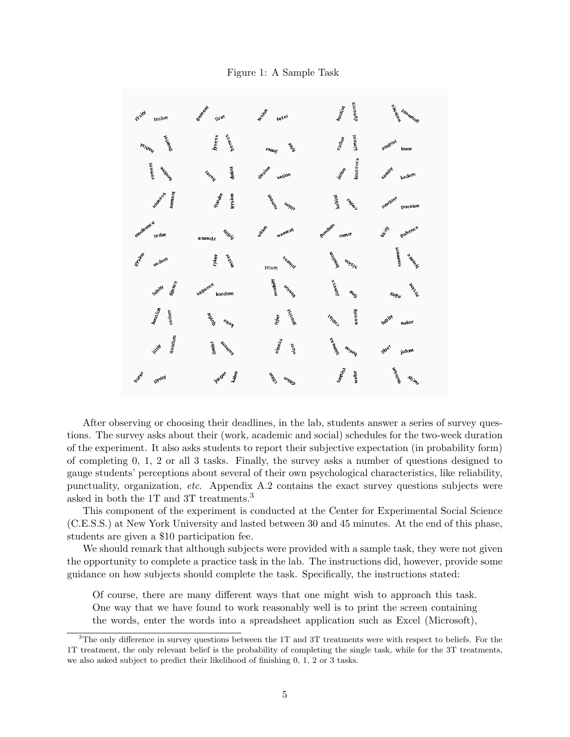Figure 1: A Sample Task



After observing or choosing their deadlines, in the lab, students answer a series of survey questions. The survey asks about their (work, academic and social) schedules for the two-week duration of the experiment. It also asks students to report their subjective expectation (in probability form) of completing 0, 1, 2 or all 3 tasks. Finally, the survey asks a number of questions designed to gauge students' perceptions about several of their own psychological characteristics, like reliability, punctuality, organization, etc. Appendix A.2 contains the exact survey questions subjects were asked in both the 1T and 3T treatments.<sup>3</sup>

This component of the experiment is conducted at the Center for Experimental Social Science (C.E.S.S.) at New York University and lasted between 30 and 45 minutes. At the end of this phase, students are given a \$10 participation fee.

We should remark that although subjects were provided with a sample task, they were not given the opportunity to complete a practice task in the lab. The instructions did, however, provide some guidance on how subjects should complete the task. Specifically, the instructions stated:

Of course, there are many different ways that one might wish to approach this task. One way that we have found to work reasonably well is to print the screen containing the words, enter the words into a spreadsheet application such as Excel (Microsoft),

<sup>3</sup>The only difference in survey questions between the 1T and 3T treatments were with respect to beliefs. For the 1T treatment, the only relevant belief is the probability of completing the single task, while for the 3T treatments, we also asked subject to predict their likelihood of finishing 0, 1, 2 or 3 tasks.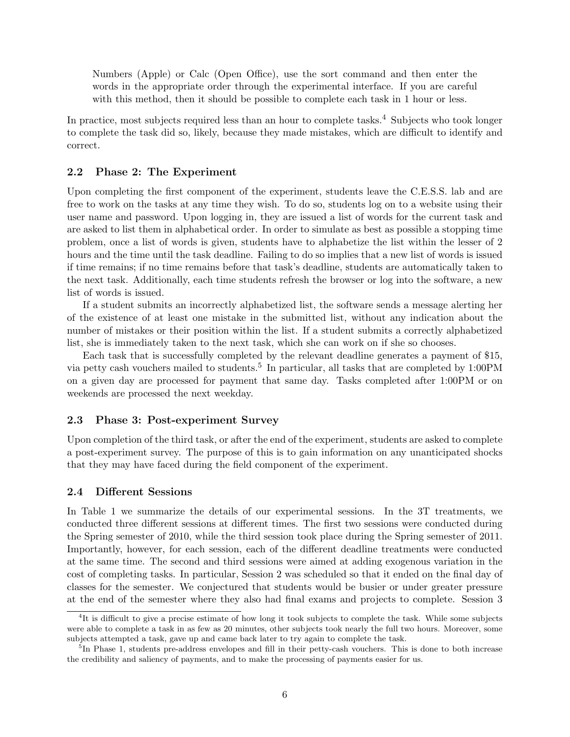Numbers (Apple) or Calc (Open Office), use the sort command and then enter the words in the appropriate order through the experimental interface. If you are careful with this method, then it should be possible to complete each task in 1 hour or less.

In practice, most subjects required less than an hour to complete tasks.<sup>4</sup> Subjects who took longer to complete the task did so, likely, because they made mistakes, which are difficult to identify and correct.

### 2.2 Phase 2: The Experiment

Upon completing the first component of the experiment, students leave the C.E.S.S. lab and are free to work on the tasks at any time they wish. To do so, students log on to a website using their user name and password. Upon logging in, they are issued a list of words for the current task and are asked to list them in alphabetical order. In order to simulate as best as possible a stopping time problem, once a list of words is given, students have to alphabetize the list within the lesser of 2 hours and the time until the task deadline. Failing to do so implies that a new list of words is issued if time remains; if no time remains before that task's deadline, students are automatically taken to the next task. Additionally, each time students refresh the browser or log into the software, a new list of words is issued.

If a student submits an incorrectly alphabetized list, the software sends a message alerting her of the existence of at least one mistake in the submitted list, without any indication about the number of mistakes or their position within the list. If a student submits a correctly alphabetized list, she is immediately taken to the next task, which she can work on if she so chooses.

Each task that is successfully completed by the relevant deadline generates a payment of \$15, via petty cash vouchers mailed to students.<sup>5</sup> In particular, all tasks that are completed by 1:00PM on a given day are processed for payment that same day. Tasks completed after 1:00PM or on weekends are processed the next weekday.

### 2.3 Phase 3: Post-experiment Survey

Upon completion of the third task, or after the end of the experiment, students are asked to complete a post-experiment survey. The purpose of this is to gain information on any unanticipated shocks that they may have faced during the field component of the experiment.

### 2.4 Different Sessions

In Table 1 we summarize the details of our experimental sessions. In the 3T treatments, we conducted three different sessions at different times. The first two sessions were conducted during the Spring semester of 2010, while the third session took place during the Spring semester of 2011. Importantly, however, for each session, each of the different deadline treatments were conducted at the same time. The second and third sessions were aimed at adding exogenous variation in the cost of completing tasks. In particular, Session 2 was scheduled so that it ended on the final day of classes for the semester. We conjectured that students would be busier or under greater pressure at the end of the semester where they also had final exams and projects to complete. Session 3

<sup>&</sup>lt;sup>4</sup>It is difficult to give a precise estimate of how long it took subjects to complete the task. While some subjects were able to complete a task in as few as 20 minutes, other subjects took nearly the full two hours. Moreover, some subjects attempted a task, gave up and came back later to try again to complete the task.

<sup>&</sup>lt;sup>5</sup>In Phase 1, students pre-address envelopes and fill in their petty-cash vouchers. This is done to both increase the credibility and saliency of payments, and to make the processing of payments easier for us.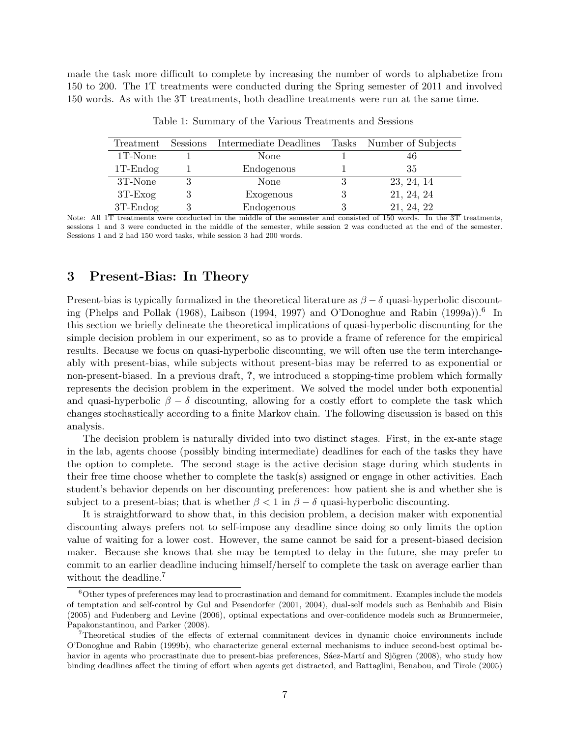made the task more difficult to complete by increasing the number of words to alphabetize from 150 to 200. The 1T treatments were conducted during the Spring semester of 2011 and involved 150 words. As with the 3T treatments, both deadline treatments were run at the same time.

|             | Treatment Sessions Intermediate Deadlines Tasks Number of Subjects |   |            |
|-------------|--------------------------------------------------------------------|---|------------|
| 1T-None     | None                                                               |   | 46         |
| $1T$ -Endog | Endogenous                                                         |   | 35         |
| 3T-None     | None                                                               |   | 23, 24, 14 |
| $3T$ -Exog  | Exogenous                                                          | 3 | 21, 24, 24 |
| $3T$ -Endog | Endogenous                                                         |   | 21, 24, 22 |

Table 1: Summary of the Various Treatments and Sessions

Note: All 1T treatments were conducted in the middle of the semester and consisted of 150 words. In the 3T treatments, sessions 1 and 3 were conducted in the middle of the semester, while session 2 was conducted at the end of the semester. Sessions 1 and 2 had 150 word tasks, while session 3 had 200 words.

### 3 Present-Bias: In Theory

Present-bias is typically formalized in the theoretical literature as  $\beta - \delta$  quasi-hyperbolic discounting (Phelps and Pollak (1968), Laibson (1994, 1997) and O'Donoghue and Rabin (1999a)).<sup>6</sup> In this section we briefly delineate the theoretical implications of quasi-hyperbolic discounting for the simple decision problem in our experiment, so as to provide a frame of reference for the empirical results. Because we focus on quasi-hyperbolic discounting, we will often use the term interchangeably with present-bias, while subjects without present-bias may be referred to as exponential or non-present-biased. In a previous draft, ?, we introduced a stopping-time problem which formally represents the decision problem in the experiment. We solved the model under both exponential and quasi-hyperbolic  $\beta - \delta$  discounting, allowing for a costly effort to complete the task which changes stochastically according to a finite Markov chain. The following discussion is based on this analysis.

The decision problem is naturally divided into two distinct stages. First, in the ex-ante stage in the lab, agents choose (possibly binding intermediate) deadlines for each of the tasks they have the option to complete. The second stage is the active decision stage during which students in their free time choose whether to complete the task(s) assigned or engage in other activities. Each student's behavior depends on her discounting preferences: how patient she is and whether she is subject to a present-bias; that is whether  $\beta < 1$  in  $\beta - \delta$  quasi-hyperbolic discounting.

It is straightforward to show that, in this decision problem, a decision maker with exponential discounting always prefers not to self-impose any deadline since doing so only limits the option value of waiting for a lower cost. However, the same cannot be said for a present-biased decision maker. Because she knows that she may be tempted to delay in the future, she may prefer to commit to an earlier deadline inducing himself/herself to complete the task on average earlier than without the deadline.<sup>7</sup>

 $6$ Other types of preferences may lead to procrastination and demand for commitment. Examples include the models of temptation and self-control by Gul and Pesendorfer (2001, 2004), dual-self models such as Benhabib and Bisin (2005) and Fudenberg and Levine (2006), optimal expectations and over-confidence models such as Brunnermeier, Papakonstantinou, and Parker (2008).

<sup>7</sup>Theoretical studies of the effects of external commitment devices in dynamic choice environments include O'Donoghue and Rabin (1999b), who characterize general external mechanisms to induce second-best optimal behavior in agents who procrastinate due to present-bias preferences, Sáez-Martí and Sjögren (2008), who study how binding deadlines affect the timing of effort when agents get distracted, and Battaglini, Benabou, and Tirole (2005)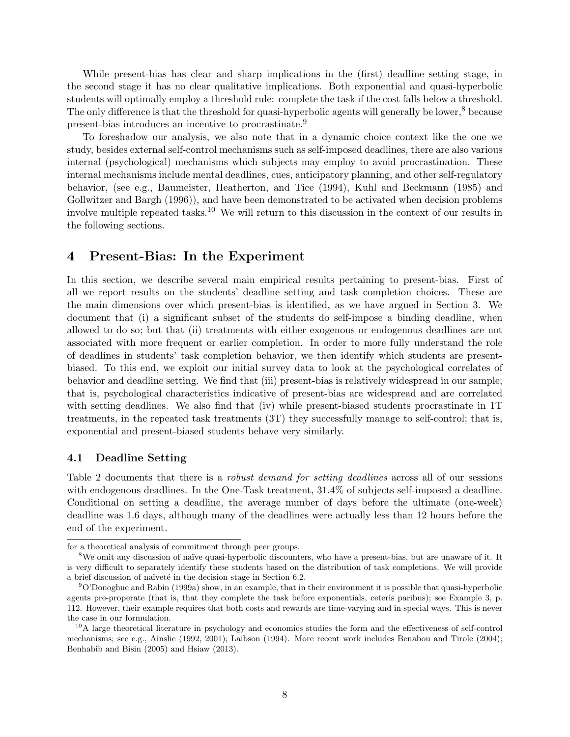While present-bias has clear and sharp implications in the (first) deadline setting stage, in the second stage it has no clear qualitative implications. Both exponential and quasi-hyperbolic students will optimally employ a threshold rule: complete the task if the cost falls below a threshold. The only difference is that the threshold for quasi-hyperbolic agents will generally be lower,<sup>8</sup> because present-bias introduces an incentive to procrastinate.<sup>9</sup>

To foreshadow our analysis, we also note that in a dynamic choice context like the one we study, besides external self-control mechanisms such as self-imposed deadlines, there are also various internal (psychological) mechanisms which subjects may employ to avoid procrastination. These internal mechanisms include mental deadlines, cues, anticipatory planning, and other self-regulatory behavior, (see e.g., Baumeister, Heatherton, and Tice (1994), Kuhl and Beckmann (1985) and Gollwitzer and Bargh (1996)), and have been demonstrated to be activated when decision problems involve multiple repeated tasks.<sup>10</sup> We will return to this discussion in the context of our results in the following sections.

## 4 Present-Bias: In the Experiment

In this section, we describe several main empirical results pertaining to present-bias. First of all we report results on the students' deadline setting and task completion choices. These are the main dimensions over which present-bias is identified, as we have argued in Section 3. We document that (i) a significant subset of the students do self-impose a binding deadline, when allowed to do so; but that (ii) treatments with either exogenous or endogenous deadlines are not associated with more frequent or earlier completion. In order to more fully understand the role of deadlines in students' task completion behavior, we then identify which students are presentbiased. To this end, we exploit our initial survey data to look at the psychological correlates of behavior and deadline setting. We find that (iii) present-bias is relatively widespread in our sample; that is, psychological characteristics indicative of present-bias are widespread and are correlated with setting deadlines. We also find that (iv) while present-biased students procrastinate in 1T treatments, in the repeated task treatments (3T) they successfully manage to self-control; that is, exponential and present-biased students behave very similarly.

### 4.1 Deadline Setting

Table 2 documents that there is a *robust demand for setting deadlines* across all of our sessions with endogenous deadlines. In the One-Task treatment, 31.4% of subjects self-imposed a deadline. Conditional on setting a deadline, the average number of days before the ultimate (one-week) deadline was 1.6 days, although many of the deadlines were actually less than 12 hours before the end of the experiment.

for a theoretical analysis of commitment through peer groups.

<sup>&</sup>lt;sup>8</sup>We omit any discussion of naïve quasi-hyperbolic discounters, who have a present-bias, but are unaware of it. It is very difficult to separately identify these students based on the distribution of task completions. We will provide a brief discussion of naïveté in the decision stage in Section 6.2.

 $9^9$ O'Donoghue and Rabin (1999a) show, in an example, that in their environment it is possible that quasi-hyperbolic agents pre-properate (that is, that they complete the task before exponentials, ceteris paribus); see Example 3, p. 112. However, their example requires that both costs and rewards are time-varying and in special ways. This is never the case in our formulation.

<sup>&</sup>lt;sup>10</sup>A large theoretical literature in psychology and economics studies the form and the effectiveness of self-control mechanisms; see e.g., Ainslie (1992, 2001); Laibson (1994). More recent work includes Benabou and Tirole (2004); Benhabib and Bisin (2005) and Hsiaw (2013).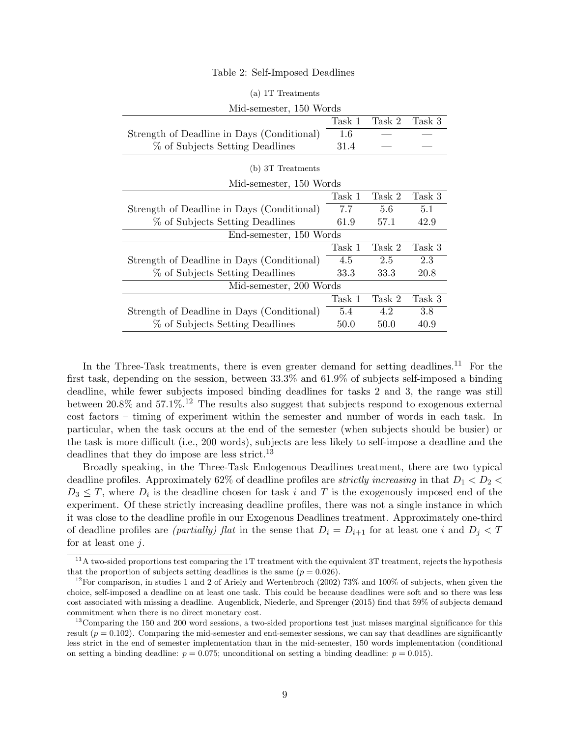#### Table 2: Self-Imposed Deadlines

| (d) II rieduments                          |        |        |        |  |  |  |  |
|--------------------------------------------|--------|--------|--------|--|--|--|--|
| Mid-semester, 150 Words                    |        |        |        |  |  |  |  |
|                                            | Task 1 | Task 2 | Task 3 |  |  |  |  |
| Strength of Deadline in Days (Conditional) | 1.6    |        |        |  |  |  |  |
| % of Subjects Setting Deadlines            | 31.4   |        |        |  |  |  |  |
| (b) 3T Treatments                          |        |        |        |  |  |  |  |
| Mid-semester, 150 Words                    |        |        |        |  |  |  |  |
|                                            | Task 1 | Task 2 | Task 3 |  |  |  |  |
| Strength of Deadline in Days (Conditional) | 7.7    | 5.6    | 5.1    |  |  |  |  |
| % of Subjects Setting Deadlines            | 61.9   | 57.1   | 42.9   |  |  |  |  |
| End-semester, 150 Words                    |        |        |        |  |  |  |  |
|                                            | Task 1 | Task 2 | Task 3 |  |  |  |  |
| Strength of Deadline in Days (Conditional) | 4.5    | 2.5    | 2.3    |  |  |  |  |
| % of Subjects Setting Deadlines            | 33.3   | 33.3   | 20.8   |  |  |  |  |
| Mid-semester, 200 Words                    |        |        |        |  |  |  |  |
|                                            | Task 1 | Task 2 | Task 3 |  |  |  |  |
| Strength of Deadline in Days (Conditional) | 5.4    | 4.2    | 3.8    |  |  |  |  |
| % of Subjects Setting Deadlines            | 50.0   | 50.0   | 40.9   |  |  |  |  |

### $(a)$  1T Treatments

In the Three-Task treatments, there is even greater demand for setting deadlines.<sup>11</sup> For the first task, depending on the session, between 33.3% and 61.9% of subjects self-imposed a binding deadline, while fewer subjects imposed binding deadlines for tasks 2 and 3, the range was still between  $20.8\%$  and  $57.1\%$ .<sup>12</sup> The results also suggest that subjects respond to exogenous external cost factors – timing of experiment within the semester and number of words in each task. In particular, when the task occurs at the end of the semester (when subjects should be busier) or the task is more difficult (i.e., 200 words), subjects are less likely to self-impose a deadline and the deadlines that they do impose are less strict.<sup>13</sup>

Broadly speaking, in the Three-Task Endogenous Deadlines treatment, there are two typical deadline profiles. Approximately 62% of deadline profiles are *strictly increasing* in that  $D_1 < D_2 <$  $D_3 \leq T$ , where  $D_i$  is the deadline chosen for task i and T is the exogenously imposed end of the experiment. Of these strictly increasing deadline profiles, there was not a single instance in which it was close to the deadline profile in our Exogenous Deadlines treatment. Approximately one-third of deadline profiles are *(partially)* flat in the sense that  $D_i = D_{i+1}$  for at least one i and  $D_j < T$ for at least one  $i$ .

 $11$ <sup>11</sup>A two-sided proportions test comparing the 1T treatment with the equivalent 3T treatment, rejects the hypothesis that the proportion of subjects setting deadlines is the same  $(p = 0.026)$ .

<sup>&</sup>lt;sup>12</sup>For comparison, in studies 1 and 2 of Ariely and Wertenbroch (2002) 73% and 100% of subjects, when given the choice, self-imposed a deadline on at least one task. This could be because deadlines were soft and so there was less cost associated with missing a deadline. Augenblick, Niederle, and Sprenger (2015) find that 59% of subjects demand commitment when there is no direct monetary cost.

 $13$ Comparing the 150 and 200 word sessions, a two-sided proportions test just misses marginal significance for this result  $(p = 0.102)$ . Comparing the mid-semester and end-semester sessions, we can say that deadlines are significantly less strict in the end of semester implementation than in the mid-semester, 150 words implementation (conditional on setting a binding deadline:  $p = 0.075$ ; unconditional on setting a binding deadline:  $p = 0.015$ ).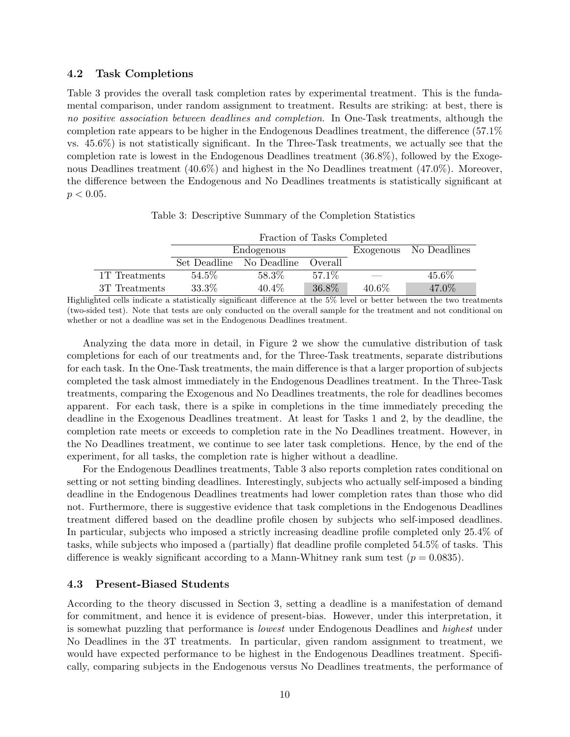### 4.2 Task Completions

Table 3 provides the overall task completion rates by experimental treatment. This is the fundamental comparison, under random assignment to treatment. Results are striking: at best, there is no positive association between deadlines and completion. In One-Task treatments, although the completion rate appears to be higher in the Endogenous Deadlines treatment, the difference (57.1% vs. 45.6%) is not statistically significant. In the Three-Task treatments, we actually see that the completion rate is lowest in the Endogenous Deadlines treatment (36.8%), followed by the Exogenous Deadlines treatment (40.6%) and highest in the No Deadlines treatment (47.0%). Moreover, the difference between the Endogenous and No Deadlines treatments is statistically significant at  $p < 0.05$ .

|               | Fraction of Tasks Completed |                                  |        |          |                        |  |  |
|---------------|-----------------------------|----------------------------------|--------|----------|------------------------|--|--|
|               | Endogenous                  |                                  |        |          | Exogenous No Deadlines |  |  |
|               |                             | Set Deadline No Deadline Overall |        |          |                        |  |  |
| 1T Treatments | 54.5%                       | 58.3%                            | 57.1\% |          | 45.6\%                 |  |  |
| 3T Treatments | 33.3%                       | $40.4\%$                         | 36.8%  | $40.6\%$ | 47.0%                  |  |  |

Table 3: Descriptive Summary of the Completion Statistics

Highlighted cells indicate a statistically significant difference at the 5% level or better between the two treatments (two-sided test). Note that tests are only conducted on the overall sample for the treatment and not conditional on whether or not a deadline was set in the Endogenous Deadlines treatment.

Analyzing the data more in detail, in Figure 2 we show the cumulative distribution of task completions for each of our treatments and, for the Three-Task treatments, separate distributions for each task. In the One-Task treatments, the main difference is that a larger proportion of subjects completed the task almost immediately in the Endogenous Deadlines treatment. In the Three-Task treatments, comparing the Exogenous and No Deadlines treatments, the role for deadlines becomes apparent. For each task, there is a spike in completions in the time immediately preceding the deadline in the Exogenous Deadlines treatment. At least for Tasks 1 and 2, by the deadline, the completion rate meets or exceeds to completion rate in the No Deadlines treatment. However, in the No Deadlines treatment, we continue to see later task completions. Hence, by the end of the experiment, for all tasks, the completion rate is higher without a deadline.

For the Endogenous Deadlines treatments, Table 3 also reports completion rates conditional on setting or not setting binding deadlines. Interestingly, subjects who actually self-imposed a binding deadline in the Endogenous Deadlines treatments had lower completion rates than those who did not. Furthermore, there is suggestive evidence that task completions in the Endogenous Deadlines treatment differed based on the deadline profile chosen by subjects who self-imposed deadlines. In particular, subjects who imposed a strictly increasing deadline profile completed only 25.4% of tasks, while subjects who imposed a (partially) flat deadline profile completed 54.5% of tasks. This difference is weakly significant according to a Mann-Whitney rank sum test  $(p = 0.0835)$ .

### 4.3 Present-Biased Students

According to the theory discussed in Section 3, setting a deadline is a manifestation of demand for commitment, and hence it is evidence of present-bias. However, under this interpretation, it is somewhat puzzling that performance is lowest under Endogenous Deadlines and highest under No Deadlines in the 3T treatments. In particular, given random assignment to treatment, we would have expected performance to be highest in the Endogenous Deadlines treatment. Specifically, comparing subjects in the Endogenous versus No Deadlines treatments, the performance of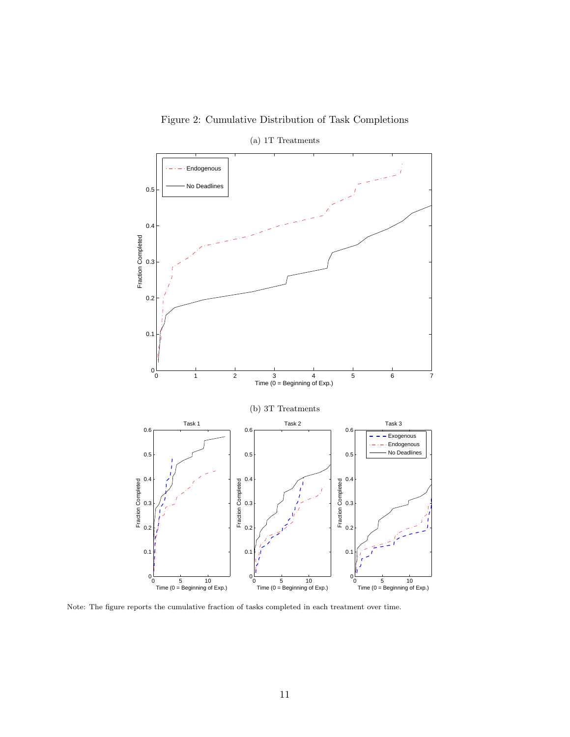



Note: The figure reports the cumulative fraction of tasks completed in each treatment over time.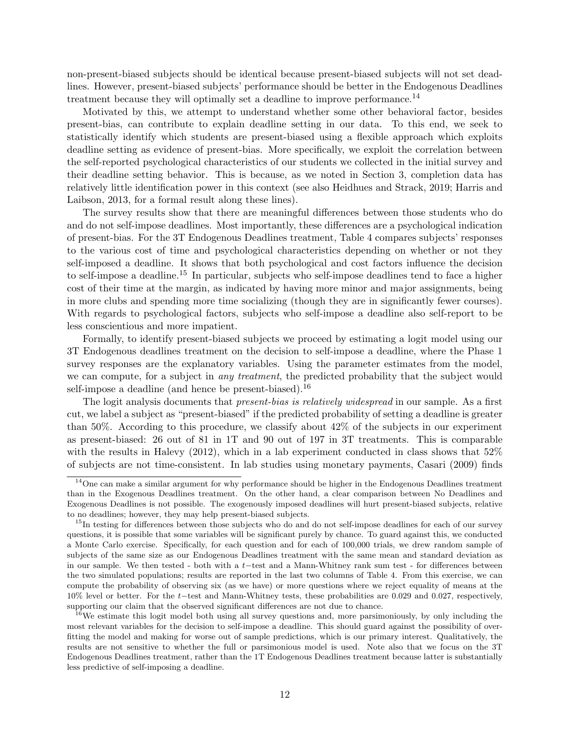non-present-biased subjects should be identical because present-biased subjects will not set deadlines. However, present-biased subjects' performance should be better in the Endogenous Deadlines treatment because they will optimally set a deadline to improve performance.<sup>14</sup>

Motivated by this, we attempt to understand whether some other behavioral factor, besides present-bias, can contribute to explain deadline setting in our data. To this end, we seek to statistically identify which students are present-biased using a flexible approach which exploits deadline setting as evidence of present-bias. More specifically, we exploit the correlation between the self-reported psychological characteristics of our students we collected in the initial survey and their deadline setting behavior. This is because, as we noted in Section 3, completion data has relatively little identification power in this context (see also Heidhues and Strack, 2019; Harris and Laibson, 2013, for a formal result along these lines).

The survey results show that there are meaningful differences between those students who do and do not self-impose deadlines. Most importantly, these differences are a psychological indication of present-bias. For the 3T Endogenous Deadlines treatment, Table 4 compares subjects' responses to the various cost of time and psychological characteristics depending on whether or not they self-imposed a deadline. It shows that both psychological and cost factors influence the decision to self-impose a deadline.<sup>15</sup> In particular, subjects who self-impose deadlines tend to face a higher cost of their time at the margin, as indicated by having more minor and major assignments, being in more clubs and spending more time socializing (though they are in significantly fewer courses). With regards to psychological factors, subjects who self-impose a deadline also self-report to be less conscientious and more impatient.

Formally, to identify present-biased subjects we proceed by estimating a logit model using our 3T Endogenous deadlines treatment on the decision to self-impose a deadline, where the Phase 1 survey responses are the explanatory variables. Using the parameter estimates from the model, we can compute, for a subject in *any treatment*, the predicted probability that the subject would self-impose a deadline (and hence be present-biased).<sup>16</sup>

The logit analysis documents that *present-bias is relatively widespread* in our sample. As a first cut, we label a subject as "present-biased" if the predicted probability of setting a deadline is greater than 50%. According to this procedure, we classify about 42% of the subjects in our experiment as present-biased: 26 out of 81 in 1T and 90 out of 197 in 3T treatments. This is comparable with the results in Halevy (2012), which in a lab experiment conducted in class shows that 52% of subjects are not time-consistent. In lab studies using monetary payments, Casari (2009) finds

<sup>16</sup>We estimate this logit model both using all survey questions and, more parsimoniously, by only including the most relevant variables for the decision to self-impose a deadline. This should guard against the possibility of overfitting the model and making for worse out of sample predictions, which is our primary interest. Qualitatively, the results are not sensitive to whether the full or parsimonious model is used. Note also that we focus on the 3T Endogenous Deadlines treatment, rather than the 1T Endogenous Deadlines treatment because latter is substantially less predictive of self-imposing a deadline.

<sup>&</sup>lt;sup>14</sup>One can make a similar argument for why performance should be higher in the Endogenous Deadlines treatment than in the Exogenous Deadlines treatment. On the other hand, a clear comparison between No Deadlines and Exogenous Deadlines is not possible. The exogenously imposed deadlines will hurt present-biased subjects, relative to no deadlines; however, they may help present-biased subjects.

<sup>&</sup>lt;sup>15</sup>In testing for differences between those subjects who do and do not self-impose deadlines for each of our survey questions, it is possible that some variables will be significant purely by chance. To guard against this, we conducted a Monte Carlo exercise. Specifically, for each question and for each of 100,000 trials, we drew random sample of subjects of the same size as our Endogenous Deadlines treatment with the same mean and standard deviation as in our sample. We then tested - both with a t−test and a Mann-Whitney rank sum test - for differences between the two simulated populations; results are reported in the last two columns of Table 4. From this exercise, we can compute the probability of observing six (as we have) or more questions where we reject equality of means at the 10% level or better. For the t−test and Mann-Whitney tests, these probabilities are 0.029 and 0.027, respectively, supporting our claim that the observed significant differences are not due to chance.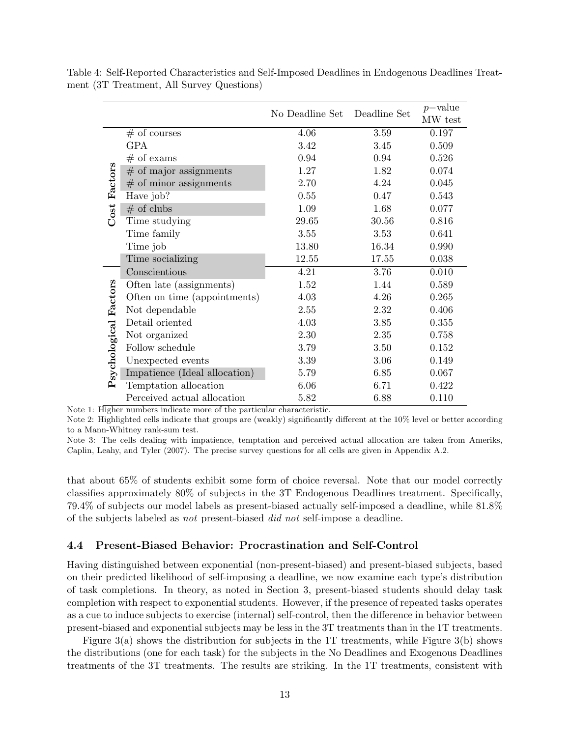|                       |                               | No Deadline Set Deadline Set |       | $p$ -value<br>MW test |
|-----------------------|-------------------------------|------------------------------|-------|-----------------------|
|                       | $#$ of courses                | 4.06                         | 3.59  | 0.197                 |
|                       | <b>GPA</b>                    | 3.42                         | 3.45  | 0.509                 |
|                       | $#$ of exams                  | 0.94                         | 0.94  | 0.526                 |
|                       | $#$ of major assignments      | 1.27                         | 1.82  | 0.074                 |
| Factors               | $#$ of minor assignments      | 2.70                         | 4.24  | 0.045                 |
|                       | Have job?                     | 0.55                         | 0.47  | 0.543                 |
| Cost                  | $#$ of clubs                  | 1.09                         | 1.68  | 0.077                 |
|                       | Time studying                 | 29.65                        | 30.56 | 0.816                 |
|                       | Time family                   | 3.55                         | 3.53  | 0.641                 |
|                       | Time job                      | 13.80                        | 16.34 | 0.990                 |
|                       | Time socializing              | 12.55                        | 17.55 | 0.038                 |
|                       | Conscientious                 | 4.21                         | 3.76  | 0.010                 |
|                       | Often late (assignments)      | 1.52                         | 1.44  | 0.589                 |
|                       | Often on time (appointments)  | 4.03                         | 4.26  | 0.265                 |
|                       | Not dependable                | 2.55                         | 2.32  | 0.406                 |
|                       | Detail oriented               | 4.03                         | 3.85  | 0.355                 |
|                       | Not organized                 | 2.30                         | 2.35  | 0.758                 |
|                       | Follow schedule               | 3.79                         | 3.50  | 0.152                 |
| Psychological Factors | Unexpected events             | 3.39                         | 3.06  | 0.149                 |
|                       | Impatience (Ideal allocation) | 5.79                         | 6.85  | 0.067                 |
|                       | Temptation allocation         | 6.06                         | 6.71  | 0.422                 |
|                       | Perceived actual allocation   | 5.82                         | 6.88  | 0.110                 |

Table 4: Self-Reported Characteristics and Self-Imposed Deadlines in Endogenous Deadlines Treatment (3T Treatment, All Survey Questions)

Note 1: Higher numbers indicate more of the particular characteristic.

Note 2: Highlighted cells indicate that groups are (weakly) significantly different at the 10% level or better according to a Mann-Whitney rank-sum test.

Note 3: The cells dealing with impatience, temptation and perceived actual allocation are taken from Ameriks, Caplin, Leahy, and Tyler (2007). The precise survey questions for all cells are given in Appendix A.2.

that about 65% of students exhibit some form of choice reversal. Note that our model correctly classifies approximately 80% of subjects in the 3T Endogenous Deadlines treatment. Specifically, 79.4% of subjects our model labels as present-biased actually self-imposed a deadline, while 81.8% of the subjects labeled as not present-biased did not self-impose a deadline.

### 4.4 Present-Biased Behavior: Procrastination and Self-Control

Having distinguished between exponential (non-present-biased) and present-biased subjects, based on their predicted likelihood of self-imposing a deadline, we now examine each type's distribution of task completions. In theory, as noted in Section 3, present-biased students should delay task completion with respect to exponential students. However, if the presence of repeated tasks operates as a cue to induce subjects to exercise (internal) self-control, then the difference in behavior between present-biased and exponential subjects may be less in the 3T treatments than in the 1T treatments.

Figure 3(a) shows the distribution for subjects in the 1T treatments, while Figure 3(b) shows the distributions (one for each task) for the subjects in the No Deadlines and Exogenous Deadlines treatments of the 3T treatments. The results are striking. In the 1T treatments, consistent with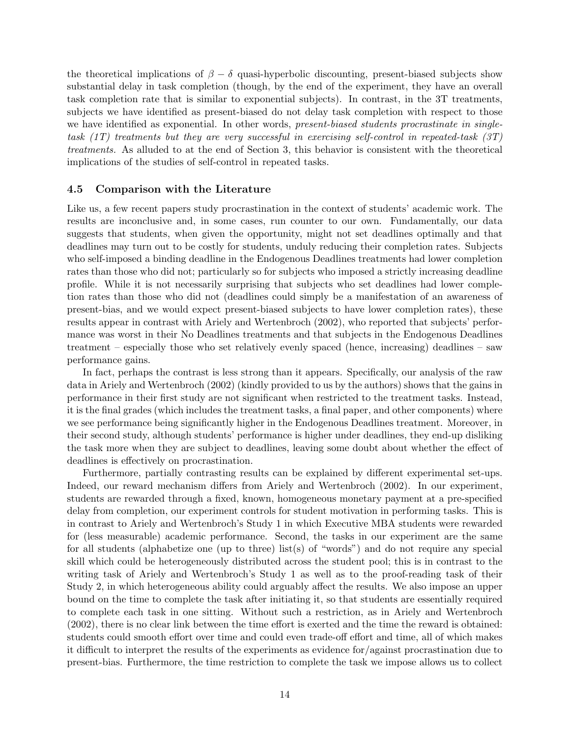the theoretical implications of  $\beta - \delta$  quasi-hyperbolic discounting, present-biased subjects show substantial delay in task completion (though, by the end of the experiment, they have an overall task completion rate that is similar to exponential subjects). In contrast, in the 3T treatments, subjects we have identified as present-biased do not delay task completion with respect to those we have identified as exponential. In other words, *present-biased students procrastinate in single*task  $(1T)$  treatments but they are very successful in exercising self-control in repeated-task  $(3T)$ treatments. As alluded to at the end of Section 3, this behavior is consistent with the theoretical implications of the studies of self-control in repeated tasks.

### 4.5 Comparison with the Literature

Like us, a few recent papers study procrastination in the context of students' academic work. The results are inconclusive and, in some cases, run counter to our own. Fundamentally, our data suggests that students, when given the opportunity, might not set deadlines optimally and that deadlines may turn out to be costly for students, unduly reducing their completion rates. Subjects who self-imposed a binding deadline in the Endogenous Deadlines treatments had lower completion rates than those who did not; particularly so for subjects who imposed a strictly increasing deadline profile. While it is not necessarily surprising that subjects who set deadlines had lower completion rates than those who did not (deadlines could simply be a manifestation of an awareness of present-bias, and we would expect present-biased subjects to have lower completion rates), these results appear in contrast with Ariely and Wertenbroch (2002), who reported that subjects' performance was worst in their No Deadlines treatments and that subjects in the Endogenous Deadlines treatment – especially those who set relatively evenly spaced (hence, increasing) deadlines – saw performance gains.

In fact, perhaps the contrast is less strong than it appears. Specifically, our analysis of the raw data in Ariely and Wertenbroch (2002) (kindly provided to us by the authors) shows that the gains in performance in their first study are not significant when restricted to the treatment tasks. Instead, it is the final grades (which includes the treatment tasks, a final paper, and other components) where we see performance being significantly higher in the Endogenous Deadlines treatment. Moreover, in their second study, although students' performance is higher under deadlines, they end-up disliking the task more when they are subject to deadlines, leaving some doubt about whether the effect of deadlines is effectively on procrastination.

Furthermore, partially contrasting results can be explained by different experimental set-ups. Indeed, our reward mechanism differs from Ariely and Wertenbroch (2002). In our experiment, students are rewarded through a fixed, known, homogeneous monetary payment at a pre-specified delay from completion, our experiment controls for student motivation in performing tasks. This is in contrast to Ariely and Wertenbroch's Study 1 in which Executive MBA students were rewarded for (less measurable) academic performance. Second, the tasks in our experiment are the same for all students (alphabetize one (up to three) list(s) of "words") and do not require any special skill which could be heterogeneously distributed across the student pool; this is in contrast to the writing task of Ariely and Wertenbroch's Study 1 as well as to the proof-reading task of their Study 2, in which heterogeneous ability could arguably affect the results. We also impose an upper bound on the time to complete the task after initiating it, so that students are essentially required to complete each task in one sitting. Without such a restriction, as in Ariely and Wertenbroch (2002), there is no clear link between the time effort is exerted and the time the reward is obtained: students could smooth effort over time and could even trade-off effort and time, all of which makes it difficult to interpret the results of the experiments as evidence for/against procrastination due to present-bias. Furthermore, the time restriction to complete the task we impose allows us to collect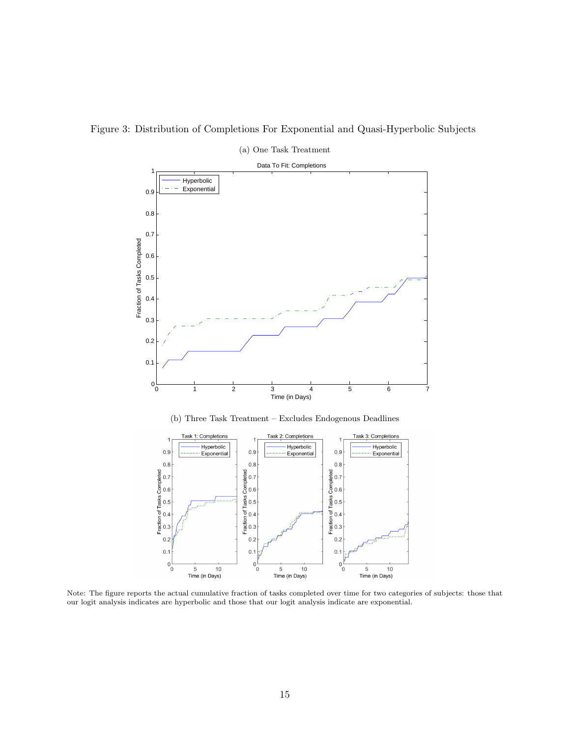



Note: The figure reports the actual cumulative fraction of tasks completed over time for two categories of subjects: those that our logit analysis indicates are hyperbolic and those that our logit analysis indicate are exponential.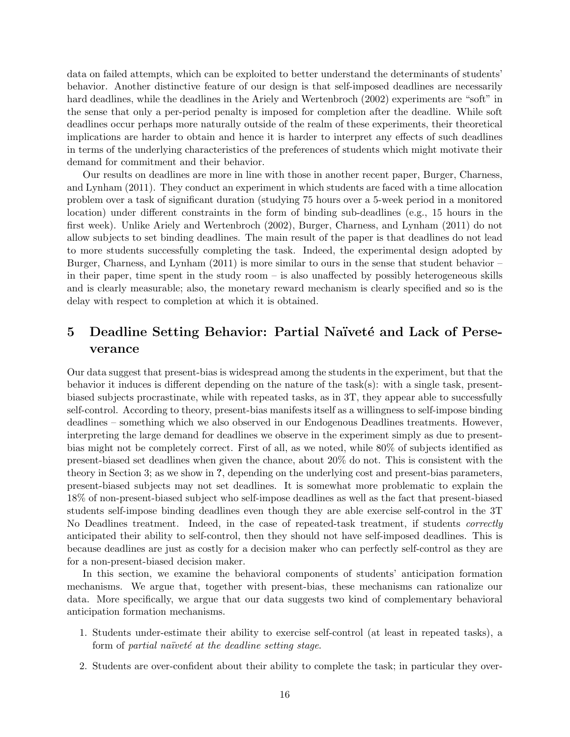data on failed attempts, which can be exploited to better understand the determinants of students' behavior. Another distinctive feature of our design is that self-imposed deadlines are necessarily hard deadlines, while the deadlines in the Ariely and Wertenbroch (2002) experiments are "soft" in the sense that only a per-period penalty is imposed for completion after the deadline. While soft deadlines occur perhaps more naturally outside of the realm of these experiments, their theoretical implications are harder to obtain and hence it is harder to interpret any effects of such deadlines in terms of the underlying characteristics of the preferences of students which might motivate their demand for commitment and their behavior.

Our results on deadlines are more in line with those in another recent paper, Burger, Charness, and Lynham (2011). They conduct an experiment in which students are faced with a time allocation problem over a task of significant duration (studying 75 hours over a 5-week period in a monitored location) under different constraints in the form of binding sub-deadlines (e.g., 15 hours in the first week). Unlike Ariely and Wertenbroch (2002), Burger, Charness, and Lynham (2011) do not allow subjects to set binding deadlines. The main result of the paper is that deadlines do not lead to more students successfully completing the task. Indeed, the experimental design adopted by Burger, Charness, and Lynham (2011) is more similar to ours in the sense that student behavior – in their paper, time spent in the study room – is also unaffected by possibly heterogeneous skills and is clearly measurable; also, the monetary reward mechanism is clearly specified and so is the delay with respect to completion at which it is obtained.

# 5 Deadline Setting Behavior: Partial Naïveté and Lack of Perseverance

Our data suggest that present-bias is widespread among the students in the experiment, but that the behavior it induces is different depending on the nature of the task(s): with a single task, presentbiased subjects procrastinate, while with repeated tasks, as in 3T, they appear able to successfully self-control. According to theory, present-bias manifests itself as a willingness to self-impose binding deadlines – something which we also observed in our Endogenous Deadlines treatments. However, interpreting the large demand for deadlines we observe in the experiment simply as due to presentbias might not be completely correct. First of all, as we noted, while 80% of subjects identified as present-biased set deadlines when given the chance, about 20% do not. This is consistent with the theory in Section 3; as we show in ?, depending on the underlying cost and present-bias parameters, present-biased subjects may not set deadlines. It is somewhat more problematic to explain the 18% of non-present-biased subject who self-impose deadlines as well as the fact that present-biased students self-impose binding deadlines even though they are able exercise self-control in the 3T No Deadlines treatment. Indeed, in the case of repeated-task treatment, if students *correctly* anticipated their ability to self-control, then they should not have self-imposed deadlines. This is because deadlines are just as costly for a decision maker who can perfectly self-control as they are for a non-present-biased decision maker.

In this section, we examine the behavioral components of students' anticipation formation mechanisms. We argue that, together with present-bias, these mechanisms can rationalize our data. More specifically, we argue that our data suggests two kind of complementary behavioral anticipation formation mechanisms.

- 1. Students under-estimate their ability to exercise self-control (at least in repeated tasks), a form of partial naïveté at the deadline setting stage.
- 2. Students are over-confident about their ability to complete the task; in particular they over-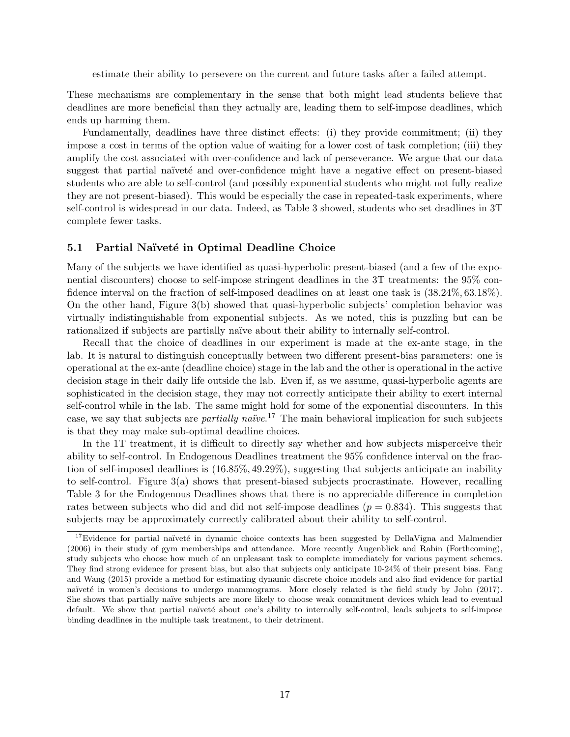estimate their ability to persevere on the current and future tasks after a failed attempt.

These mechanisms are complementary in the sense that both might lead students believe that deadlines are more beneficial than they actually are, leading them to self-impose deadlines, which ends up harming them.

Fundamentally, deadlines have three distinct effects: (i) they provide commitment; (ii) they impose a cost in terms of the option value of waiting for a lower cost of task completion; (iii) they amplify the cost associated with over-confidence and lack of perseverance. We argue that our data suggest that partial naïvete and over-confidence might have a negative effect on present-biased students who are able to self-control (and possibly exponential students who might not fully realize they are not present-biased). This would be especially the case in repeated-task experiments, where self-control is widespread in our data. Indeed, as Table 3 showed, students who set deadlines in 3T complete fewer tasks.

### 5.1 Partial Naïveté in Optimal Deadline Choice

Many of the subjects we have identified as quasi-hyperbolic present-biased (and a few of the exponential discounters) choose to self-impose stringent deadlines in the 3T treatments: the 95% confidence interval on the fraction of self-imposed deadlines on at least one task is (38.24%, 63.18%). On the other hand, Figure 3(b) showed that quasi-hyperbolic subjects' completion behavior was virtually indistinguishable from exponential subjects. As we noted, this is puzzling but can be rationalized if subjects are partially naïve about their ability to internally self-control.

Recall that the choice of deadlines in our experiment is made at the ex-ante stage, in the lab. It is natural to distinguish conceptually between two different present-bias parameters: one is operational at the ex-ante (deadline choice) stage in the lab and the other is operational in the active decision stage in their daily life outside the lab. Even if, as we assume, quasi-hyperbolic agents are sophisticated in the decision stage, they may not correctly anticipate their ability to exert internal self-control while in the lab. The same might hold for some of the exponential discounters. In this case, we say that subjects are *partially naïve*.<sup>17</sup> The main behavioral implication for such subjects is that they may make sub-optimal deadline choices.

In the 1T treatment, it is difficult to directly say whether and how subjects misperceive their ability to self-control. In Endogenous Deadlines treatment the 95% confidence interval on the fraction of self-imposed deadlines is (16.85%, 49.29%), suggesting that subjects anticipate an inability to self-control. Figure 3(a) shows that present-biased subjects procrastinate. However, recalling Table 3 for the Endogenous Deadlines shows that there is no appreciable difference in completion rates between subjects who did and did not self-impose deadlines  $(p = 0.834)$ . This suggests that subjects may be approximately correctly calibrated about their ability to self-control.

 $17$ Evidence for partial naïveté in dynamic choice contexts has been suggested by DellaVigna and Malmendier (2006) in their study of gym memberships and attendance. More recently Augenblick and Rabin (Forthcoming), study subjects who choose how much of an unpleasant task to complete immediately for various payment schemes. They find strong evidence for present bias, but also that subjects only anticipate 10-24% of their present bias. Fang and Wang (2015) provide a method for estimating dynamic discrete choice models and also find evidence for partial naïveté in women's decisions to undergo mammograms. More closely related is the field study by John (2017). She shows that partially naïve subjects are more likely to choose weak commitment devices which lead to eventual default. We show that partial naïveté about one's ability to internally self-control, leads subjects to self-impose binding deadlines in the multiple task treatment, to their detriment.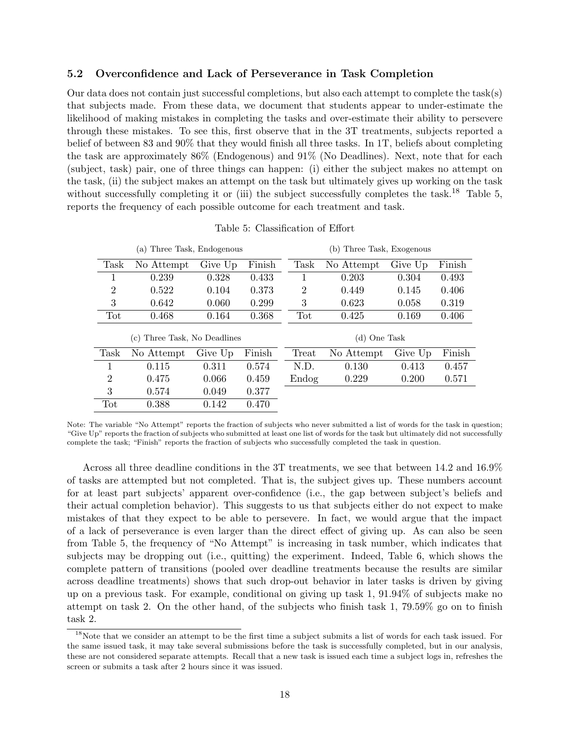### 5.2 Overconfidence and Lack of Perseverance in Task Completion

Our data does not contain just successful completions, but also each attempt to complete the task(s) that subjects made. From these data, we document that students appear to under-estimate the likelihood of making mistakes in completing the tasks and over-estimate their ability to persevere through these mistakes. To see this, first observe that in the 3T treatments, subjects reported a belief of between 83 and 90% that they would finish all three tasks. In 1T, beliefs about completing the task are approximately 86% (Endogenous) and 91% (No Deadlines). Next, note that for each (subject, task) pair, one of three things can happen: (i) either the subject makes no attempt on the task, (ii) the subject makes an attempt on the task but ultimately gives up working on the task without successfully completing it or (iii) the subject successfully completes the task.<sup>18</sup> Table 5, reports the frequency of each possible outcome for each treatment and task.

|                | (a)                                        | Three Task, Endogenous |        |                | (b) Three Task, Exogenous |         |        |
|----------------|--------------------------------------------|------------------------|--------|----------------|---------------------------|---------|--------|
| Task           | No Attempt                                 | Give Up                | Finish | Task           | No Attempt                | Give Up | Finish |
|                | 0.239                                      | 0.328                  | 0.433  | 1              | 0.203                     | 0.304   | 0.493  |
| $\overline{2}$ | 0.522                                      | 0.104                  | 0.373  | $\overline{2}$ | 0.449                     | 0.145   | 0.406  |
| 3              | 0.642                                      | 0.060                  | 0.299  | 3              | 0.623                     | 0.058   | 0.319  |
| Tot            | 0.468                                      | 0.164                  | 0.368  | Tot            | 0.425                     | 0.169   | 0.406  |
|                | Three Task, No Deadlines<br>$\mathbf{c}$ ) |                        |        |                | (d) One Task              |         |        |
| Task           | No Attempt                                 | Give Up                | Finish | Treat          | No Attempt                | Give Up | Finish |
|                | 0.115                                      | 0.311                  | 0.574  | N.D.           | 0.130                     | 0.413   | 0.457  |
| $\overline{2}$ | 0.475                                      | 0.066                  | 0.459  | Endog          | 0.229                     | 0.200   | 0.571  |
| 3              | 0.574                                      | 0.049                  | 0.377  |                |                           |         |        |
| Tot            |                                            |                        |        |                |                           |         |        |

Table 5: Classification of Effort

Note: The variable "No Attempt" reports the fraction of subjects who never submitted a list of words for the task in question; "Give Up" reports the fraction of subjects who submitted at least one list of words for the task but ultimately did not successfully complete the task; "Finish" reports the fraction of subjects who successfully completed the task in question.

Across all three deadline conditions in the 3T treatments, we see that between 14.2 and 16.9% of tasks are attempted but not completed. That is, the subject gives up. These numbers account for at least part subjects' apparent over-confidence (i.e., the gap between subject's beliefs and their actual completion behavior). This suggests to us that subjects either do not expect to make mistakes of that they expect to be able to persevere. In fact, we would argue that the impact of a lack of perseverance is even larger than the direct effect of giving up. As can also be seen from Table 5, the frequency of "No Attempt" is increasing in task number, which indicates that subjects may be dropping out (i.e., quitting) the experiment. Indeed, Table 6, which shows the complete pattern of transitions (pooled over deadline treatments because the results are similar across deadline treatments) shows that such drop-out behavior in later tasks is driven by giving up on a previous task. For example, conditional on giving up task 1, 91.94% of subjects make no attempt on task 2. On the other hand, of the subjects who finish task 1, 79.59% go on to finish task 2.

 $18$ Note that we consider an attempt to be the first time a subject submits a list of words for each task issued. For the same issued task, it may take several submissions before the task is successfully completed, but in our analysis, these are not considered separate attempts. Recall that a new task is issued each time a subject logs in, refreshes the screen or submits a task after 2 hours since it was issued.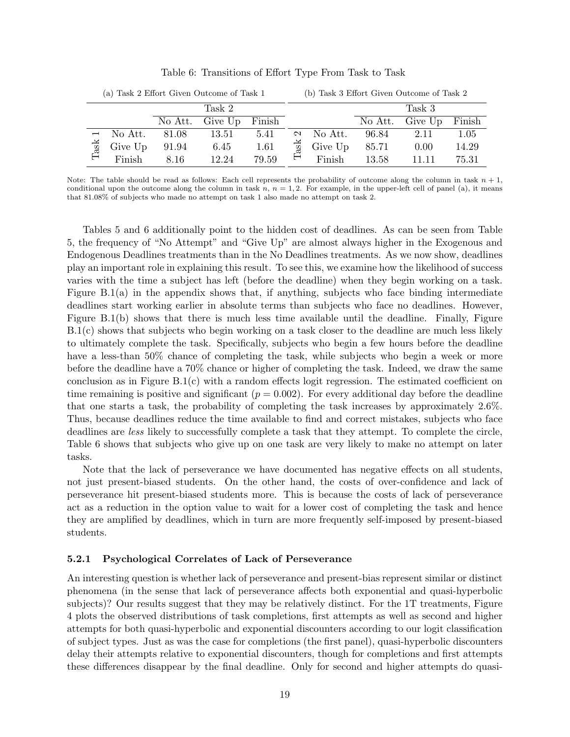|      |         |       | (a) Task 2 Effort Given Outcome of Task 1 |        |              |         |         | (b) Task 3 Effort Given Outcome of Task 2 |        |
|------|---------|-------|-------------------------------------------|--------|--------------|---------|---------|-------------------------------------------|--------|
|      |         |       | Task 2                                    |        |              |         |         | Task 3                                    |        |
|      |         |       | No Att. Give Up                           | Finish |              |         | No Att. | Give Up                                   | Finish |
|      | No Att. | 81.08 | 13.51                                     | 5.41   | $\mathbf{c}$ | No Att. | 96.84   | 2.11                                      | 1.05   |
| Task | Give Up | 91.94 | 6.45                                      | 1.61   | $\rm{ask}$   | Give Up | 85.71   | 0.00                                      | 14.29  |
|      | Finish  | 8.16  | 12.24                                     | 79.59  | ⊟            | Finish  | 13.58   | 11.11                                     | 75.31  |

Table 6: Transitions of Effort Type From Task to Task

Note: The table should be read as follows: Each cell represents the probability of outcome along the column in task  $n + 1$ , conditional upon the outcome along the column in task  $n, n = 1, 2$ . For example, in the upper-left cell of panel (a), it means that 81.08% of subjects who made no attempt on task 1 also made no attempt on task 2.

Tables 5 and 6 additionally point to the hidden cost of deadlines. As can be seen from Table 5, the frequency of "No Attempt" and "Give Up" are almost always higher in the Exogenous and Endogenous Deadlines treatments than in the No Deadlines treatments. As we now show, deadlines play an important role in explaining this result. To see this, we examine how the likelihood of success varies with the time a subject has left (before the deadline) when they begin working on a task. Figure  $B(1(a))$  in the appendix shows that, if anything, subjects who face binding intermediate deadlines start working earlier in absolute terms than subjects who face no deadlines. However, Figure B.1(b) shows that there is much less time available until the deadline. Finally, Figure B.1(c) shows that subjects who begin working on a task closer to the deadline are much less likely to ultimately complete the task. Specifically, subjects who begin a few hours before the deadline have a less-than 50% chance of completing the task, while subjects who begin a week or more before the deadline have a 70% chance or higher of completing the task. Indeed, we draw the same conclusion as in Figure B.1(c) with a random effects logit regression. The estimated coefficient on time remaining is positive and significant ( $p = 0.002$ ). For every additional day before the deadline that one starts a task, the probability of completing the task increases by approximately 2.6%. Thus, because deadlines reduce the time available to find and correct mistakes, subjects who face deadlines are less likely to successfully complete a task that they attempt. To complete the circle, Table 6 shows that subjects who give up on one task are very likely to make no attempt on later tasks.

Note that the lack of perseverance we have documented has negative effects on all students, not just present-biased students. On the other hand, the costs of over-confidence and lack of perseverance hit present-biased students more. This is because the costs of lack of perseverance act as a reduction in the option value to wait for a lower cost of completing the task and hence they are amplified by deadlines, which in turn are more frequently self-imposed by present-biased students.

#### 5.2.1 Psychological Correlates of Lack of Perseverance

An interesting question is whether lack of perseverance and present-bias represent similar or distinct phenomena (in the sense that lack of perseverance affects both exponential and quasi-hyperbolic subjects)? Our results suggest that they may be relatively distinct. For the 1T treatments, Figure 4 plots the observed distributions of task completions, first attempts as well as second and higher attempts for both quasi-hyperbolic and exponential discounters according to our logit classification of subject types. Just as was the case for completions (the first panel), quasi-hyperbolic discounters delay their attempts relative to exponential discounters, though for completions and first attempts these differences disappear by the final deadline. Only for second and higher attempts do quasi-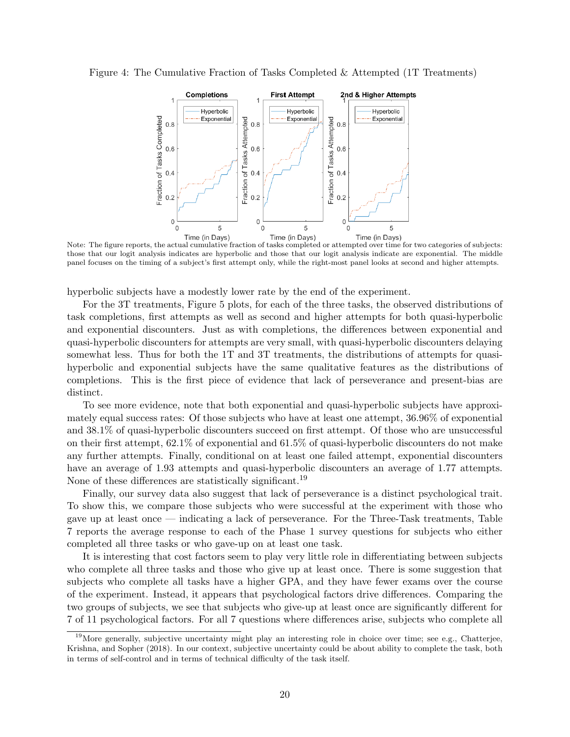Figure 4: The Cumulative Fraction of Tasks Completed & Attempted (1T Treatments)



Note: The figure reports, the actual cumulative fraction of tasks completed or attempted over time for two categories of subjects:<br>Note: The figure reports, the actual cumulative fraction of tasks completed or attempted ov those that our logit analysis indicates are hyperbolic and those that our logit analysis indicate are exponential. The middle panel focuses on the timing of a subject's first attempt only, while the right-most panel looks at second and higher attempts.

hyperbolic subjects have a modestly lower rate by the end of the experiment.

For the 3T treatments, Figure 5 plots, for each of the three tasks, the observed distributions of task completions, first attempts as well as second and higher attempts for both quasi-hyperbolic and exponential discounters. Just as with completions, the differences between exponential and quasi-hyperbolic discounters for attempts are very small, with quasi-hyperbolic discounters delaying somewhat less. Thus for both the 1T and 3T treatments, the distributions of attempts for quasihyperbolic and exponential subjects have the same qualitative features as the distributions of completions. This is the first piece of evidence that lack of perseverance and present-bias are distinct.

To see more evidence, note that both exponential and quasi-hyperbolic subjects have approximately equal success rates: Of those subjects who have at least one attempt, 36.96% of exponential and 38.1% of quasi-hyperbolic discounters succeed on first attempt. Of those who are unsuccessful on their first attempt, 62.1% of exponential and 61.5% of quasi-hyperbolic discounters do not make any further attempts. Finally, conditional on at least one failed attempt, exponential discounters have an average of 1.93 attempts and quasi-hyperbolic discounters an average of 1.77 attempts. None of these differences are statistically significant.<sup>19</sup>

Finally, our survey data also suggest that lack of perseverance is a distinct psychological trait. To show this, we compare those subjects who were successful at the experiment with those who gave up at least once — indicating a lack of perseverance. For the Three-Task treatments, Table 7 reports the average response to each of the Phase 1 survey questions for subjects who either completed all three tasks or who gave-up on at least one task.

It is interesting that cost factors seem to play very little role in differentiating between subjects who complete all three tasks and those who give up at least once. There is some suggestion that subjects who complete all tasks have a higher GPA, and they have fewer exams over the course of the experiment. Instead, it appears that psychological factors drive differences. Comparing the two groups of subjects, we see that subjects who give-up at least once are significantly different for 7 of 11 psychological factors. For all 7 questions where differences arise, subjects who complete all

 $19$ More generally, subjective uncertainty might play an interesting role in choice over time; see e.g., Chatterjee, Krishna, and Sopher (2018). In our context, subjective uncertainty could be about ability to complete the task, both in terms of self-control and in terms of technical difficulty of the task itself.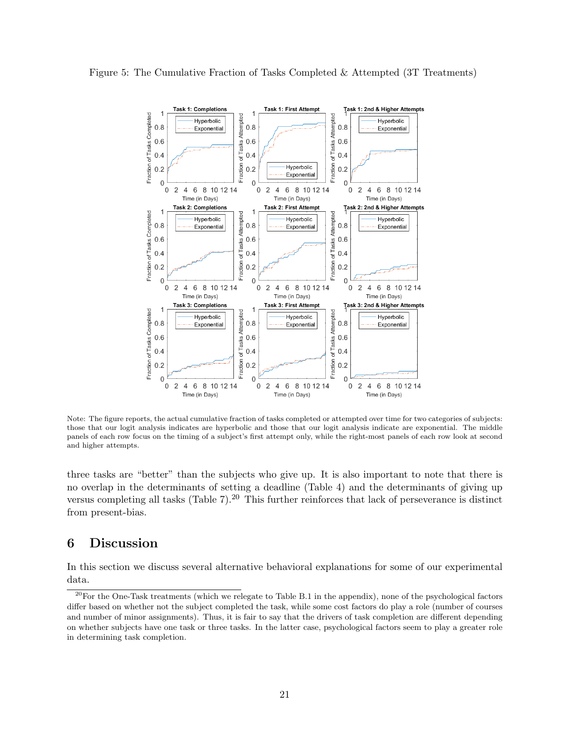



Note: The figure reports, the actual cumulative fraction of tasks completed or attempted over time for two categories of subjects: those that our logit analysis indicates are hyperbolic and those that our logit analysis indicate are exponential. The middle panels of each row focus on the timing of a subject's first attempt only, while the right-most panels of each row look at second and higher attempts.

three tasks are "better" than the subjects who give up. It is also important to note that there is no overlap in the determinants of setting a deadline (Table 4) and the determinants of giving up versus completing all tasks (Table  $7$ ).<sup>20</sup> This further reinforces that lack of perseverance is distinct from present-bias.

## 6 Discussion

In this section we discuss several alternative behavioral explanations for some of our experimental data.

 $^{20}$ For the One-Task treatments (which we relegate to Table B.1 in the appendix), none of the psychological factors differ based on whether not the subject completed the task, while some cost factors do play a role (number of courses and number of minor assignments). Thus, it is fair to say that the drivers of task completion are different depending on whether subjects have one task or three tasks. In the latter case, psychological factors seem to play a greater role in determining task completion.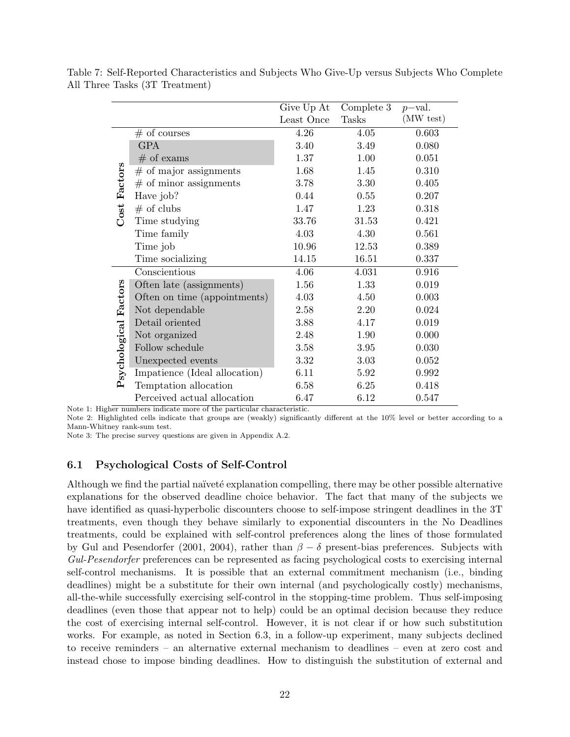|                       |                               | Give Up At | Complete 3   | $p$ -val. |
|-----------------------|-------------------------------|------------|--------------|-----------|
|                       |                               | Least Once | <b>Tasks</b> | (MW test) |
|                       | $#$ of courses                | 4.26       | 4.05         | 0.603     |
|                       | <b>GPA</b>                    | 3.40       | 3.49         | 0.080     |
|                       | $#$ of exams                  | 1.37       | 1.00         | 0.051     |
|                       | $#$ of major assignments      | 1.68       | 1.45         | 0.310     |
|                       | $#$ of minor assignments      | 3.78       | 3.30         | 0.405     |
| Cost Factors          | Have job?                     | 0.44       | 0.55         | 0.207     |
|                       | $#$ of clubs                  | 1.47       | 1.23         | 0.318     |
|                       | Time studying                 | 33.76      | 31.53        | 0.421     |
|                       | Time family                   | 4.03       | 4.30         | 0.561     |
|                       | Time job                      | 10.96      | 12.53        | 0.389     |
|                       | Time socializing              | 14.15      | 16.51        | 0.337     |
|                       | Conscientious                 | 4.06       | 4.031        | 0.916     |
|                       | Often late (assignments)      | 1.56       | 1.33         | 0.019     |
|                       | Often on time (appointments)  | 4.03       | 4.50         | 0.003     |
|                       | Not dependable                | 2.58       | 2.20         | 0.024     |
|                       | Detail oriented               | 3.88       | 4.17         | 0.019     |
|                       | Not organized                 | 2.48       | 1.90         | 0.000     |
|                       | Follow schedule               | 3.58       | 3.95         | 0.030     |
| Psychological Factors | Unexpected events             | 3.32       | 3.03         | 0.052     |
|                       | Impatience (Ideal allocation) | 6.11       | 5.92         | 0.992     |
|                       | Temptation allocation         | 6.58       | 6.25         | 0.418     |
|                       | Perceived actual allocation   | 6.47       | 6.12         | 0.547     |

Table 7: Self-Reported Characteristics and Subjects Who Give-Up versus Subjects Who Complete All Three Tasks (3T Treatment)

Note 1: Higher numbers indicate more of the particular characteristic.

Note 2: Highlighted cells indicate that groups are (weakly) significantly different at the 10% level or better according to a Mann-Whitney rank-sum test.

Note 3: The precise survey questions are given in Appendix A.2.

### 6.1 Psychological Costs of Self-Control

Although we find the partial naïveté explanation compelling, there may be other possible alternative explanations for the observed deadline choice behavior. The fact that many of the subjects we have identified as quasi-hyperbolic discounters choose to self-impose stringent deadlines in the 3T treatments, even though they behave similarly to exponential discounters in the No Deadlines treatments, could be explained with self-control preferences along the lines of those formulated by Gul and Pesendorfer (2001, 2004), rather than  $\beta - \delta$  present-bias preferences. Subjects with Gul-Pesendorfer preferences can be represented as facing psychological costs to exercising internal self-control mechanisms. It is possible that an external commitment mechanism (i.e., binding deadlines) might be a substitute for their own internal (and psychologically costly) mechanisms, all-the-while successfully exercising self-control in the stopping-time problem. Thus self-imposing deadlines (even those that appear not to help) could be an optimal decision because they reduce the cost of exercising internal self-control. However, it is not clear if or how such substitution works. For example, as noted in Section 6.3, in a follow-up experiment, many subjects declined to receive reminders – an alternative external mechanism to deadlines – even at zero cost and instead chose to impose binding deadlines. How to distinguish the substitution of external and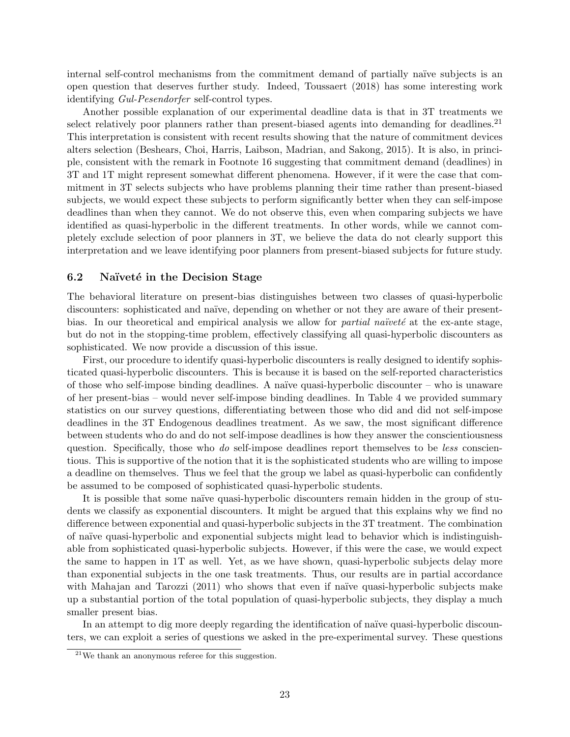internal self-control mechanisms from the commitment demand of partially naïve subjects is an open question that deserves further study. Indeed, Toussaert (2018) has some interesting work identifying Gul-Pesendorfer self-control types.

Another possible explanation of our experimental deadline data is that in 3T treatments we select relatively poor planners rather than present-biased agents into demanding for deadlines.<sup>21</sup> This interpretation is consistent with recent results showing that the nature of commitment devices alters selection (Beshears, Choi, Harris, Laibson, Madrian, and Sakong, 2015). It is also, in principle, consistent with the remark in Footnote 16 suggesting that commitment demand (deadlines) in 3T and 1T might represent somewhat different phenomena. However, if it were the case that commitment in 3T selects subjects who have problems planning their time rather than present-biased subjects, we would expect these subjects to perform significantly better when they can self-impose deadlines than when they cannot. We do not observe this, even when comparing subjects we have identified as quasi-hyperbolic in the different treatments. In other words, while we cannot completely exclude selection of poor planners in 3T, we believe the data do not clearly support this interpretation and we leave identifying poor planners from present-biased subjects for future study.

### 6.2 Naïveté in the Decision Stage

The behavioral literature on present-bias distinguishes between two classes of quasi-hyperbolic discounters: sophisticated and naïve, depending on whether or not they are aware of their presentbias. In our theoretical and empirical analysis we allow for *partial naïveté* at the ex-ante stage, but do not in the stopping-time problem, effectively classifying all quasi-hyperbolic discounters as sophisticated. We now provide a discussion of this issue.

First, our procedure to identify quasi-hyperbolic discounters is really designed to identify sophisticated quasi-hyperbolic discounters. This is because it is based on the self-reported characteristics of those who self-impose binding deadlines. A naïve quasi-hyperbolic discounter – who is unaware of her present-bias – would never self-impose binding deadlines. In Table 4 we provided summary statistics on our survey questions, differentiating between those who did and did not self-impose deadlines in the 3T Endogenous deadlines treatment. As we saw, the most significant difference between students who do and do not self-impose deadlines is how they answer the conscientiousness question. Specifically, those who do self-impose deadlines report themselves to be less conscientious. This is supportive of the notion that it is the sophisticated students who are willing to impose a deadline on themselves. Thus we feel that the group we label as quasi-hyperbolic can confidently be assumed to be composed of sophisticated quasi-hyperbolic students.

It is possible that some naïve quasi-hyperbolic discounters remain hidden in the group of students we classify as exponential discounters. It might be argued that this explains why we find no difference between exponential and quasi-hyperbolic subjects in the 3T treatment. The combination of na¨ıve quasi-hyperbolic and exponential subjects might lead to behavior which is indistinguishable from sophisticated quasi-hyperbolic subjects. However, if this were the case, we would expect the same to happen in 1T as well. Yet, as we have shown, quasi-hyperbolic subjects delay more than exponential subjects in the one task treatments. Thus, our results are in partial accordance with Mahajan and Tarozzi (2011) who shows that even if naïve quasi-hyperbolic subjects make up a substantial portion of the total population of quasi-hyperbolic subjects, they display a much smaller present bias.

In an attempt to dig more deeply regarding the identification of naïve quasi-hyperbolic discounters, we can exploit a series of questions we asked in the pre-experimental survey. These questions

<sup>21</sup>We thank an anonymous referee for this suggestion.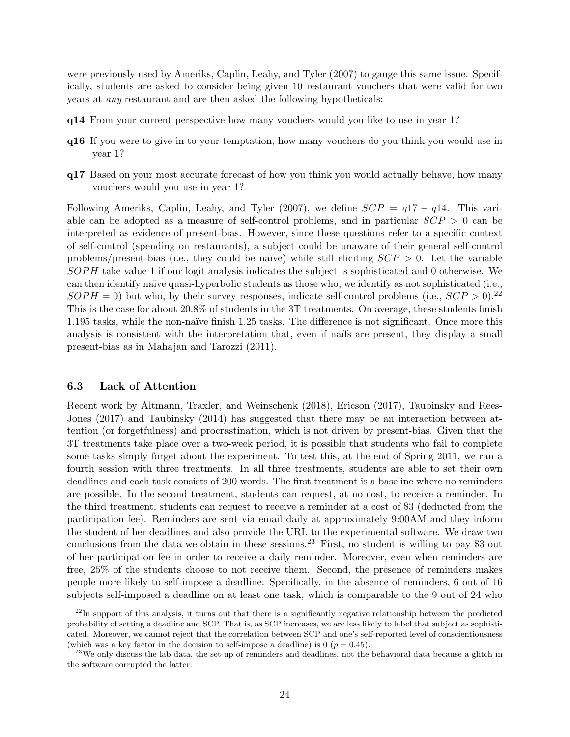were previously used by Ameriks, Caplin, Leahy, and Tyler (2007) to gauge this same issue. Specifically, students are asked to consider being given 10 restaurant vouchers that were valid for two years at any restaurant and are then asked the following hypotheticals:

- q14 From your current perspective how many vouchers would you like to use in year 1?
- q16 If you were to give in to your temptation, how many vouchers do you think you would use in year 1?
- q17 Based on your most accurate forecast of how you think you would actually behave, how many vouchers would you use in year 1?

Following Ameriks, Caplin, Leahy, and Tyler (2007), we define  $SCP = q17 - q14$ . This variable can be adopted as a measure of self-control problems, and in particular  $SCP > 0$  can be interpreted as evidence of present-bias. However, since these questions refer to a specific context of self-control (spending on restaurants), a subject could be unaware of their general self-control problems/present-bias (i.e., they could be naïve) while still eliciting  $SCP > 0$ . Let the variable SOPH take value 1 if our logit analysis indicates the subject is sophisticated and 0 otherwise. We can then identify naïve quasi-hyperbolic students as those who, we identify as not sophisticated (i.e.,  $SOPH = 0$ ) but who, by their survey responses, indicate self-control problems (i.e.,  $SCP > 0$ ).<sup>22</sup> This is the case for about 20.8% of students in the 3T treatments. On average, these students finish 1.195 tasks, while the non-naïve finish 1.25 tasks. The difference is not significant. Once more this analysis is consistent with the interpretation that, even if naïfs are present, they display a small present-bias as in Mahajan and Tarozzi (2011).

### 6.3 Lack of Attention

Recent work by Altmann, Traxler, and Weinschenk (2018), Ericson (2017), Taubinsky and Rees-Jones (2017) and Taubinsky (2014) has suggested that there may be an interaction between attention (or forgetfulness) and procrastination, which is not driven by present-bias. Given that the 3T treatments take place over a two-week period, it is possible that students who fail to complete some tasks simply forget about the experiment. To test this, at the end of Spring 2011, we ran a fourth session with three treatments. In all three treatments, students are able to set their own deadlines and each task consists of 200 words. The first treatment is a baseline where no reminders are possible. In the second treatment, students can request, at no cost, to receive a reminder. In the third treatment, students can request to receive a reminder at a cost of \$3 (deducted from the participation fee). Reminders are sent via email daily at approximately 9:00AM and they inform the student of her deadlines and also provide the URL to the experimental software. We draw two conclusions from the data we obtain in these sessions.<sup>23</sup> First, no student is willing to pay \$3 out of her participation fee in order to receive a daily reminder. Moreover, even when reminders are free, 25% of the students choose to not receive them. Second, the presence of reminders makes people more likely to self-impose a deadline. Specifically, in the absence of reminders, 6 out of 16 subjects self-imposed a deadline on at least one task, which is comparable to the 9 out of 24 who

 $^{22}$ In support of this analysis, it turns out that there is a significantly negative relationship between the predicted probability of setting a deadline and SCP. That is, as SCP increases, we are less likely to label that subject as sophisticated. Moreover, we cannot reject that the correlation between SCP and one's self-reported level of conscientiousness (which was a key factor in the decision to self-impose a deadline) is 0 ( $p = 0.45$ ).

 $^{23}$ We only discuss the lab data, the set-up of reminders and deadlines, not the behavioral data because a glitch in the software corrupted the latter.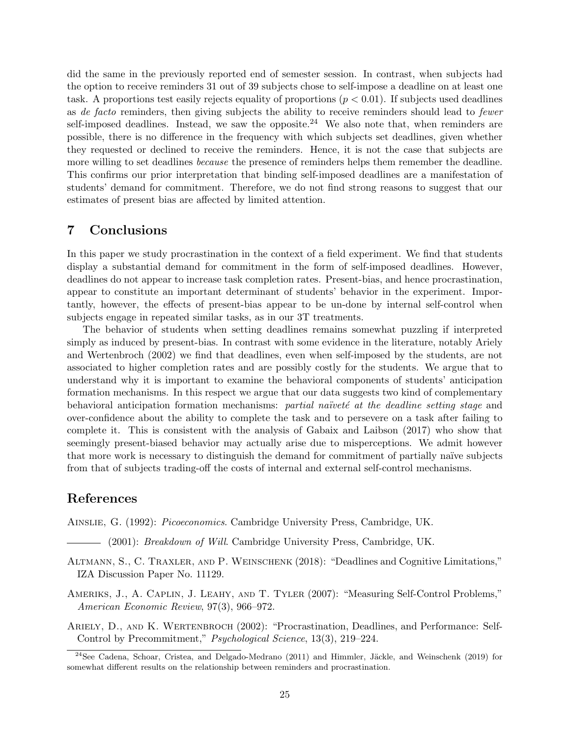did the same in the previously reported end of semester session. In contrast, when subjects had the option to receive reminders 31 out of 39 subjects chose to self-impose a deadline on at least one task. A proportions test easily rejects equality of proportions  $(p < 0.01)$ . If subjects used deadlines as de facto reminders, then giving subjects the ability to receive reminders should lead to fewer self-imposed deadlines. Instead, we saw the opposite.<sup>24</sup> We also note that, when reminders are possible, there is no difference in the frequency with which subjects set deadlines, given whether they requested or declined to receive the reminders. Hence, it is not the case that subjects are more willing to set deadlines *because* the presence of reminders helps them remember the deadline. This confirms our prior interpretation that binding self-imposed deadlines are a manifestation of students' demand for commitment. Therefore, we do not find strong reasons to suggest that our estimates of present bias are affected by limited attention.

## 7 Conclusions

In this paper we study procrastination in the context of a field experiment. We find that students display a substantial demand for commitment in the form of self-imposed deadlines. However, deadlines do not appear to increase task completion rates. Present-bias, and hence procrastination, appear to constitute an important determinant of students' behavior in the experiment. Importantly, however, the effects of present-bias appear to be un-done by internal self-control when subjects engage in repeated similar tasks, as in our 3T treatments.

The behavior of students when setting deadlines remains somewhat puzzling if interpreted simply as induced by present-bias. In contrast with some evidence in the literature, notably Ariely and Wertenbroch (2002) we find that deadlines, even when self-imposed by the students, are not associated to higher completion rates and are possibly costly for the students. We argue that to understand why it is important to examine the behavioral components of students' anticipation formation mechanisms. In this respect we argue that our data suggests two kind of complementary behavioral anticipation formation mechanisms: partial naïveté at the deadline setting stage and over-confidence about the ability to complete the task and to persevere on a task after failing to complete it. This is consistent with the analysis of Gabaix and Laibson (2017) who show that seemingly present-biased behavior may actually arise due to misperceptions. We admit however that more work is necessary to distinguish the demand for commitment of partially na¨ıve subjects from that of subjects trading-off the costs of internal and external self-control mechanisms.

### References

Ainslie, G. (1992): Picoeconomics. Cambridge University Press, Cambridge, UK.

(2001): *Breakdown of Will.* Cambridge University Press, Cambridge, UK.

- Altmann, S., C. Traxler, and P. Weinschenk (2018): "Deadlines and Cognitive Limitations," IZA Discussion Paper No. 11129.
- Ameriks, J., A. Caplin, J. Leahy, and T. Tyler (2007): "Measuring Self-Control Problems," American Economic Review, 97(3), 966–972.
- ARIELY, D., AND K. WERTENBROCH (2002): "Procrastination, Deadlines, and Performance: Self-Control by Precommitment," Psychological Science, 13(3), 219–224.

<sup>&</sup>lt;sup>24</sup>See Cadena, Schoar, Cristea, and Delgado-Medrano (2011) and Himmler, Jäckle, and Weinschenk (2019) for somewhat different results on the relationship between reminders and procrastination.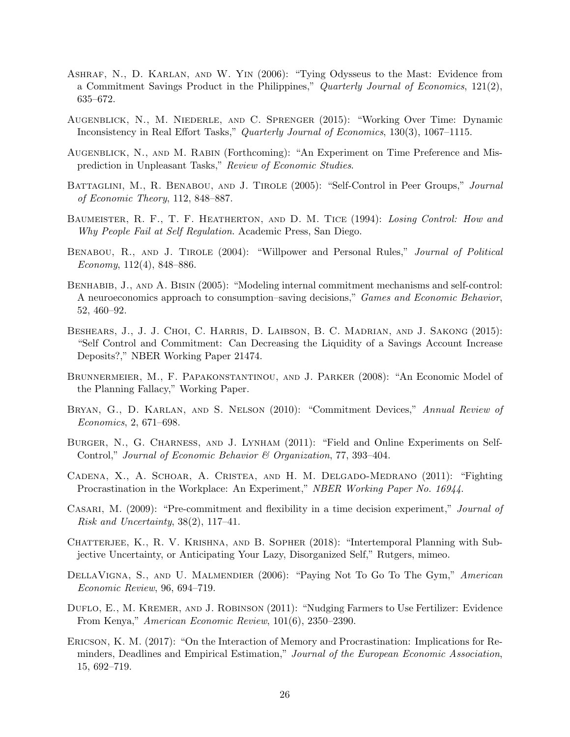- Ashraf, N., D. Karlan, and W. Yin (2006): "Tying Odysseus to the Mast: Evidence from a Commitment Savings Product in the Philippines," Quarterly Journal of Economics, 121(2), 635–672.
- Augenblick, N., M. Niederle, and C. Sprenger (2015): "Working Over Time: Dynamic Inconsistency in Real Effort Tasks," Quarterly Journal of Economics, 130(3), 1067–1115.
- Augenblick, N., and M. Rabin (Forthcoming): "An Experiment on Time Preference and Misprediction in Unpleasant Tasks," Review of Economic Studies.
- BATTAGLINI, M., R. BENABOU, AND J. TIROLE (2005): "Self-Control in Peer Groups," Journal of Economic Theory, 112, 848–887.
- BAUMEISTER, R. F., T. F. HEATHERTON, AND D. M. TICE (1994): Losing Control: How and Why People Fail at Self Regulation. Academic Press, San Diego.
- Benabou, R., and J. Tirole (2004): "Willpower and Personal Rules," Journal of Political Economy,  $112(4)$ , 848–886.
- BENHABIB, J., AND A. BISIN (2005): "Modeling internal commitment mechanisms and self-control: A neuroeconomics approach to consumption–saving decisions," Games and Economic Behavior, 52, 460–92.
- Beshears, J., J. J. Choi, C. Harris, D. Laibson, B. C. Madrian, and J. Sakong (2015): "Self Control and Commitment: Can Decreasing the Liquidity of a Savings Account Increase Deposits?," NBER Working Paper 21474.
- Brunnermeier, M., F. Papakonstantinou, and J. Parker (2008): "An Economic Model of the Planning Fallacy," Working Paper.
- BRYAN, G., D. KARLAN, AND S. NELSON (2010): "Commitment Devices," Annual Review of Economics, 2, 671–698.
- BURGER, N., G. CHARNESS, AND J. LYNHAM (2011): "Field and Online Experiments on Self-Control," Journal of Economic Behavior & Organization, 77, 393–404.
- Cadena, X., A. Schoar, A. Cristea, and H. M. Delgado-Medrano (2011): "Fighting Procrastination in the Workplace: An Experiment," NBER Working Paper No. 16944.
- Casari, M. (2009): "Pre-commitment and flexibility in a time decision experiment," Journal of Risk and Uncertainty,  $38(2)$ ,  $117-41$ .
- CHATTERJEE, K., R. V. KRISHNA, AND B. SOPHER (2018): "Intertemporal Planning with Subjective Uncertainty, or Anticipating Your Lazy, Disorganized Self," Rutgers, mimeo.
- DellaVigna, S., and U. Malmendier (2006): "Paying Not To Go To The Gym," American Economic Review, 96, 694–719.
- Duflo, E., M. Kremer, and J. Robinson (2011): "Nudging Farmers to Use Fertilizer: Evidence From Kenya," American Economic Review, 101(6), 2350–2390.
- Ericson, K. M. (2017): "On the Interaction of Memory and Procrastination: Implications for Reminders, Deadlines and Empirical Estimation," Journal of the European Economic Association, 15, 692–719.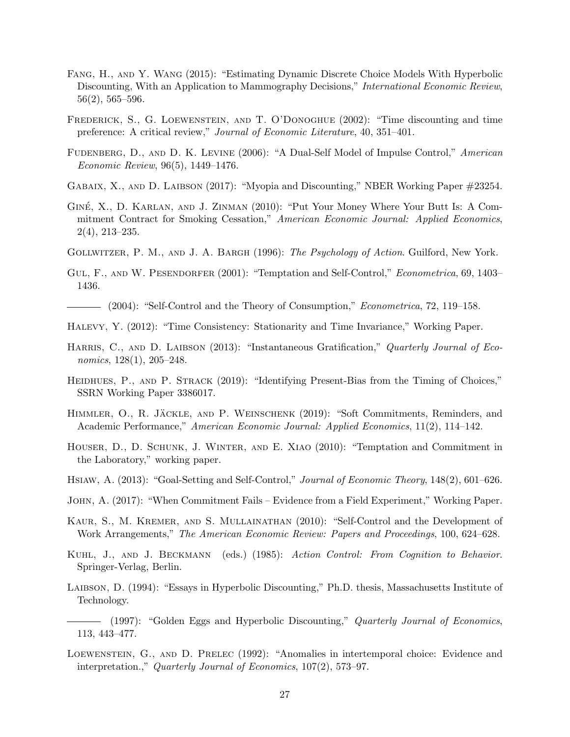- Fang, H., and Y. Wang (2015): "Estimating Dynamic Discrete Choice Models With Hyperbolic Discounting, With an Application to Mammography Decisions," International Economic Review,  $56(2), 565-596.$
- Frederick, S., G. Loewenstein, and T. O'Donoghue (2002): "Time discounting and time preference: A critical review," Journal of Economic Literature, 40, 351–401.
- FUDENBERG, D., AND D. K. LEVINE (2006): "A Dual-Self Model of Impulse Control," American Economic Review, 96(5), 1449–1476.
- Gabaix, X., and D. Laibson (2017): "Myopia and Discounting," NBER Working Paper #23254.
- GINÉ, X., D. KARLAN, AND J. ZINMAN (2010): "Put Your Money Where Your Butt Is: A Commitment Contract for Smoking Cessation," American Economic Journal: Applied Economics, 2(4), 213–235.
- GOLLWITZER, P. M., AND J. A. BARGH (1996): The Psychology of Action. Guilford, New York.
- GUL, F., AND W. PESENDORFER (2001): "Temptation and Self-Control," *Econometrica*, 69, 1403– 1436.
- (2004): "Self-Control and the Theory of Consumption," *Econometrica*, 72, 119–158.
- Halevy, Y. (2012): "Time Consistency: Stationarity and Time Invariance," Working Paper.
- HARRIS, C., AND D. LAIBSON (2013): "Instantaneous Gratification," Quarterly Journal of Economics, 128(1), 205–248.
- HEIDHUES, P., AND P. STRACK (2019): "Identifying Present-Bias from the Timing of Choices," SSRN Working Paper 3386017.
- HIMMLER, O., R. JÄCKLE, AND P. WEINSCHENK (2019): "Soft Commitments, Reminders, and Academic Performance," American Economic Journal: Applied Economics, 11(2), 114–142.
- Houser, D., D. Schunk, J. Winter, and E. Xiao (2010): "Temptation and Commitment in the Laboratory," working paper.
- HSIAW, A. (2013): "Goal-Setting and Self-Control," Journal of Economic Theory, 148(2), 601–626.
- John, A. (2017): "When Commitment Fails Evidence from a Field Experiment," Working Paper.
- Kaur, S., M. Kremer, and S. Mullainathan (2010): "Self-Control and the Development of Work Arrangements," The American Economic Review: Papers and Proceedings, 100, 624–628.
- Kuhl, J., and J. Beckmann (eds.) (1985): Action Control: From Cognition to Behavior. Springer-Verlag, Berlin.
- Laibson, D. (1994): "Essays in Hyperbolic Discounting," Ph.D. thesis, Massachusetts Institute of Technology.
- $-$  (1997): "Golden Eggs and Hyperbolic Discounting," Quarterly Journal of Economics, 113, 443–477.
- Loewenstein, G., and D. Prelec (1992): "Anomalies in intertemporal choice: Evidence and interpretation.," Quarterly Journal of Economics, 107(2), 573–97.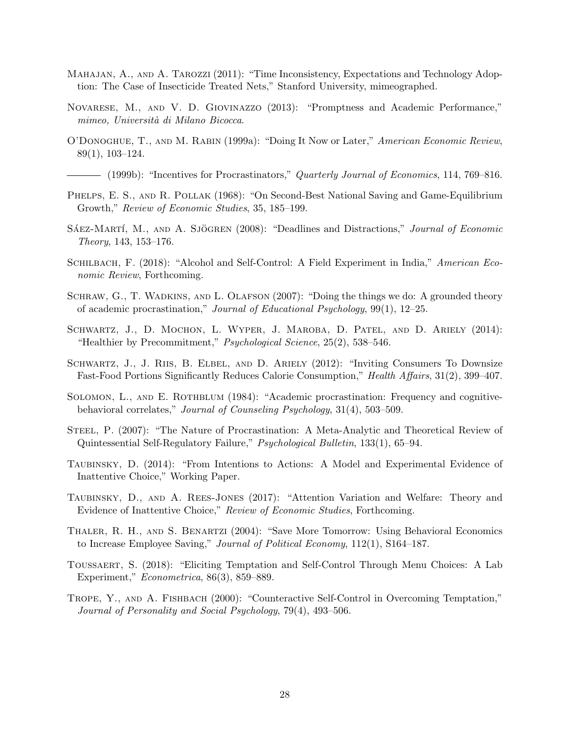- Mahajan, A., and A. Tarozzi (2011): "Time Inconsistency, Expectations and Technology Adoption: The Case of Insecticide Treated Nets," Stanford University, mimeographed.
- Novarese, M., and V. D. Giovinazzo (2013): "Promptness and Academic Performance," mimeo, Università di Milano Bicocca.
- O'Donoghue, T., and M. Rabin (1999a): "Doing It Now or Later," American Economic Review, 89(1), 103–124.

- (1999b): "Incentives for Procrastinators," *Quarterly Journal of Economics*, 114, 769–816.

- PHELPS, E. S., AND R. POLLAK (1968): "On Second-Best National Saving and Game-Equilibrium Growth," Review of Economic Studies, 35, 185–199.
- SÁEZ-MARTÍ, M., AND A. SJÖGREN (2008): "Deadlines and Distractions," Journal of Economic Theory, 143, 153–176.
- SCHILBACH, F. (2018): "Alcohol and Self-Control: A Field Experiment in India," American Economic Review, Forthcoming.
- SCHRAW, G., T. WADKINS, AND L. OLAFSON (2007): "Doing the things we do: A grounded theory of academic procrastination," Journal of Educational Psychology, 99(1), 12–25.
- SCHWARTZ, J., D. MOCHON, L. WYPER, J. MAROBA, D. PATEL, AND D. ARIELY (2014): "Healthier by Precommitment," Psychological Science, 25(2), 538–546.
- SCHWARTZ, J., J. RIIS, B. ELBEL, AND D. ARIELY (2012): "Inviting Consumers To Downsize Fast-Food Portions Significantly Reduces Calorie Consumption," Health Affairs, 31(2), 399–407.
- SOLOMON, L., AND E. ROTHBLUM (1984): "Academic procrastination: Frequency and cognitivebehavioral correlates," Journal of Counseling Psychology, 31(4), 503–509.
- Steel, P. (2007): "The Nature of Procrastination: A Meta-Analytic and Theoretical Review of Quintessential Self-Regulatory Failure," Psychological Bulletin, 133(1), 65–94.
- TAUBINSKY, D. (2014): "From Intentions to Actions: A Model and Experimental Evidence of Inattentive Choice," Working Paper.
- Taubinsky, D., and A. Rees-Jones (2017): "Attention Variation and Welfare: Theory and Evidence of Inattentive Choice," Review of Economic Studies, Forthcoming.
- Thaler, R. H., and S. Benartzi (2004): "Save More Tomorrow: Using Behavioral Economics to Increase Employee Saving," Journal of Political Economy, 112(1), S164–187.
- Toussaert, S. (2018): "Eliciting Temptation and Self-Control Through Menu Choices: A Lab Experiment," Econometrica, 86(3), 859–889.
- Trope, Y., and A. Fishbach (2000): "Counteractive Self-Control in Overcoming Temptation," Journal of Personality and Social Psychology, 79(4), 493–506.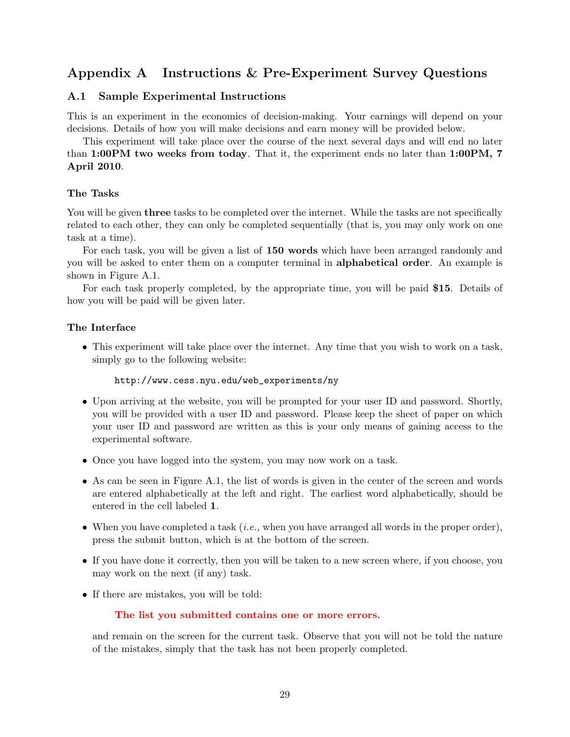# Appendix A Instructions & Pre-Experiment Survey Questions

### A.1 Sample Experimental Instructions

This is an experiment in the economics of decision-making. Your earnings will depend on your decisions. Details of how you will make decisions and earn money will be provided below.

This experiment will take place over the course of the next several days and will end no later than 1:00PM two weeks from today. That it, the experiment ends no later than 1:00PM, 7 April 2010.

### The Tasks

You will be given **three** tasks to be completed over the internet. While the tasks are not specifically related to each other, they can only be completed sequentially (that is, you may only work on one task at a time).

For each task, you will be given a list of 150 words which have been arranged randomly and you will be asked to enter them on a computer terminal in alphabetical order. An example is shown in Figure A.1.

For each task properly completed, by the appropriate time, you will be paid \$15. Details of how you will be paid will be given later.

### The Interface

• This experiment will take place over the internet. Any time that you wish to work on a task, simply go to the following website:

```
http://www.cess.nyu.edu/web_experiments/ny
```
- Upon arriving at the website, you will be prompted for your user ID and password. Shortly, you will be provided with a user ID and password. Please keep the sheet of paper on which your user ID and password are written as this is your only means of gaining access to the experimental software.
- Once you have logged into the system, you may now work on a task.
- As can be seen in Figure A.1, the list of words is given in the center of the screen and words are entered alphabetically at the left and right. The earliest word alphabetically, should be entered in the cell labeled 1.
- When you have completed a task  $(i.e.,$  when you have arranged all words in the proper order), press the submit button, which is at the bottom of the screen.
- If you have done it correctly, then you will be taken to a new screen where, if you choose, you may work on the next (if any) task.
- If there are mistakes, you will be told:

### The list you submitted contains one or more errors.

and remain on the screen for the current task. Observe that you will not be told the nature of the mistakes, simply that the task has not been properly completed.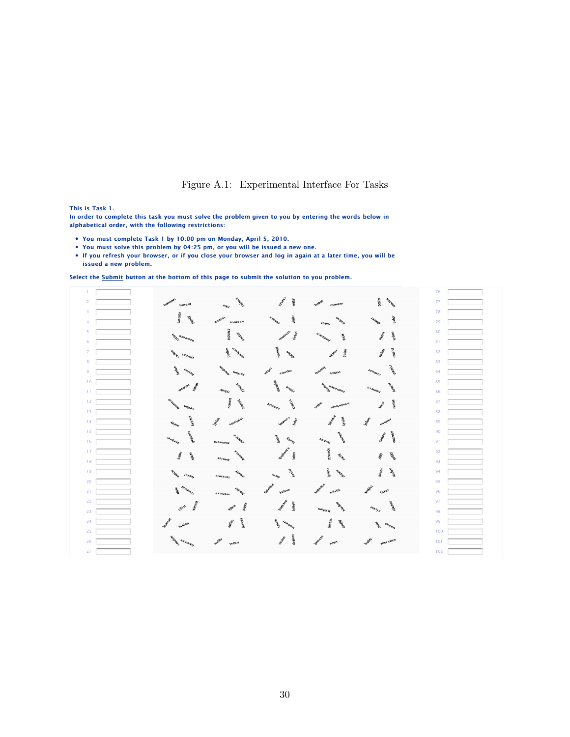### Figure A.1: Experimental Interface For Tasks

#### This is Task 1.

In order to complete this task you must solve the problem given to you by entering the words below in alphabetical order, with the following restrictions:

- You must complete Task 1 by 10:00 pm on Monday, April 5, 2010.
- You must solve this problem by 04:25 pm, or you will be issued a new one.
- If you refresh your browser, or if you close your browser and log in again at a later time, you will be issued a new problem.

Select the Submit button at the bottom of this page to submit the solution to you problem.

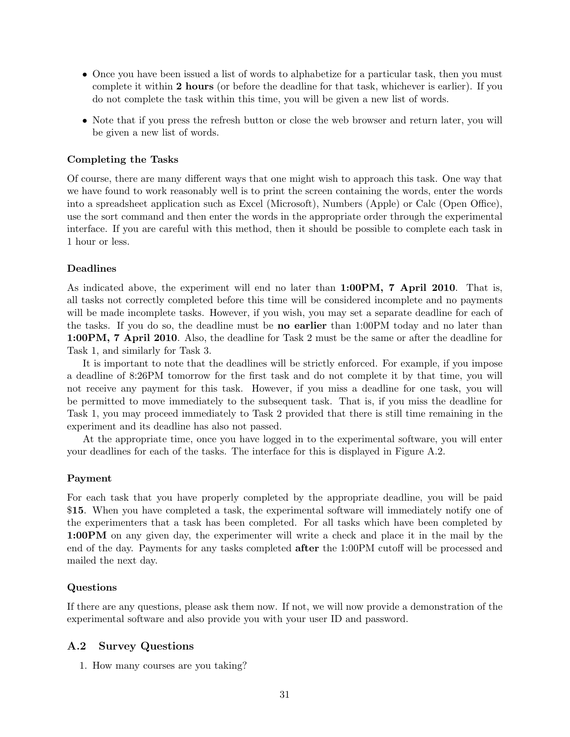- Once you have been issued a list of words to alphabetize for a particular task, then you must complete it within 2 hours (or before the deadline for that task, whichever is earlier). If you do not complete the task within this time, you will be given a new list of words.
- Note that if you press the refresh button or close the web browser and return later, you will be given a new list of words.

### Completing the Tasks

Of course, there are many different ways that one might wish to approach this task. One way that we have found to work reasonably well is to print the screen containing the words, enter the words into a spreadsheet application such as Excel (Microsoft), Numbers (Apple) or Calc (Open Office), use the sort command and then enter the words in the appropriate order through the experimental interface. If you are careful with this method, then it should be possible to complete each task in 1 hour or less.

### **Deadlines**

As indicated above, the experiment will end no later than 1:00PM, 7 April 2010. That is, all tasks not correctly completed before this time will be considered incomplete and no payments will be made incomplete tasks. However, if you wish, you may set a separate deadline for each of the tasks. If you do so, the deadline must be no earlier than 1:00PM today and no later than 1:00PM, 7 April 2010. Also, the deadline for Task 2 must be the same or after the deadline for Task 1, and similarly for Task 3.

It is important to note that the deadlines will be strictly enforced. For example, if you impose a deadline of 8:26PM tomorrow for the first task and do not complete it by that time, you will not receive any payment for this task. However, if you miss a deadline for one task, you will be permitted to move immediately to the subsequent task. That is, if you miss the deadline for Task 1, you may proceed immediately to Task 2 provided that there is still time remaining in the experiment and its deadline has also not passed.

At the appropriate time, once you have logged in to the experimental software, you will enter your deadlines for each of the tasks. The interface for this is displayed in Figure A.2.

#### Payment

For each task that you have properly completed by the appropriate deadline, you will be paid \$15. When you have completed a task, the experimental software will immediately notify one of the experimenters that a task has been completed. For all tasks which have been completed by 1:00PM on any given day, the experimenter will write a check and place it in the mail by the end of the day. Payments for any tasks completed after the 1:00PM cutoff will be processed and mailed the next day.

#### Questions

If there are any questions, please ask them now. If not, we will now provide a demonstration of the experimental software and also provide you with your user ID and password.

#### A.2 Survey Questions

1. How many courses are you taking?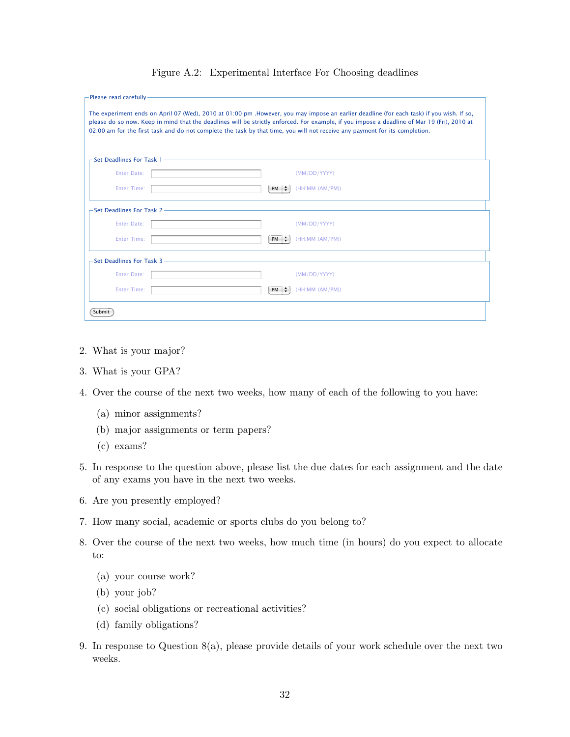| -Please read carefully-                                                                                                                                                                                                                                                                                                                                                                                                 |           |                 |  |  |  |  |
|-------------------------------------------------------------------------------------------------------------------------------------------------------------------------------------------------------------------------------------------------------------------------------------------------------------------------------------------------------------------------------------------------------------------------|-----------|-----------------|--|--|--|--|
| The experiment ends on April 07 (Wed), 2010 at 01:00 pm . However, you may impose an earlier deadline (for each task) if you wish. If so,<br>please do so now. Keep in mind that the deadlines will be strictly enforced. For example, if you impose a deadline of Mar 19 (Fri), 2010 at<br>02:00 am for the first task and do not complete the task by that time, you will not receive any payment for its completion. |           |                 |  |  |  |  |
| -Set Deadlines For Task 1 - The Content of the Content of the Content of the Content of the Content of the Content of the Content of the Content of the Content of the Content of the Content of the Content of the Content of                                                                                                                                                                                          |           |                 |  |  |  |  |
| Enter Date:                                                                                                                                                                                                                                                                                                                                                                                                             |           | (MM/DD/YYYY)    |  |  |  |  |
| <b>Enter Time:</b>                                                                                                                                                                                                                                                                                                                                                                                                      | $PM \div$ | (HH:MM (AM/PM)) |  |  |  |  |
| $-$ Set Deadlines For Task 2 $-$                                                                                                                                                                                                                                                                                                                                                                                        |           |                 |  |  |  |  |
| Enter Date:                                                                                                                                                                                                                                                                                                                                                                                                             |           | (MM/DD/YYYY)    |  |  |  |  |
| <b>Enter Time:</b>                                                                                                                                                                                                                                                                                                                                                                                                      | $PM \div$ | (HH:MM (AM/PM)) |  |  |  |  |
| -Set Deadlines For Task 3 - 2008 - 2009 - 2014 - 2015 - 2016 - 2017 - 2018 - 2019 - 2018 - 2019 - 2019 - 2019                                                                                                                                                                                                                                                                                                           |           |                 |  |  |  |  |
| Enter Date:                                                                                                                                                                                                                                                                                                                                                                                                             |           | (MM/DD/YYYY)    |  |  |  |  |
| <b>Enter Time:</b>                                                                                                                                                                                                                                                                                                                                                                                                      | $PM \div$ | (HH:MM (AM/PM)) |  |  |  |  |
| Submit                                                                                                                                                                                                                                                                                                                                                                                                                  |           |                 |  |  |  |  |

### Figure A.2: Experimental Interface For Choosing deadlines

- 2. What is your major?
- 3. What is your GPA?
- 4. Over the course of the next two weeks, how many of each of the following to you have:
	- (a) minor assignments?
	- (b) major assignments or term papers?
	- (c) exams?
- 5. In response to the question above, please list the due dates for each assignment and the date of any exams you have in the next two weeks.
- 6. Are you presently employed?
- 7. How many social, academic or sports clubs do you belong to?
- 8. Over the course of the next two weeks, how much time (in hours) do you expect to allocate to:
	- (a) your course work?
	- (b) your job?
	- (c) social obligations or recreational activities?
	- (d) family obligations?
- 9. In response to Question 8(a), please provide details of your work schedule over the next two weeks.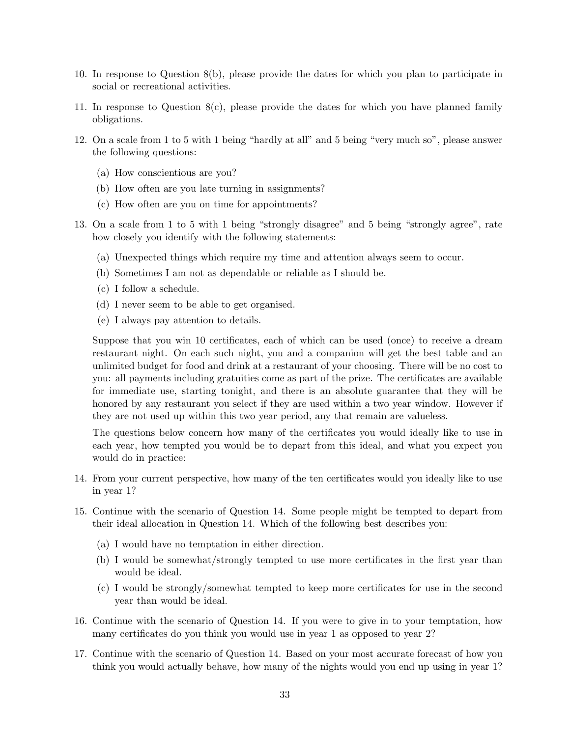- 10. In response to Question 8(b), please provide the dates for which you plan to participate in social or recreational activities.
- 11. In response to Question  $S(c)$ , please provide the dates for which you have planned family obligations.
- 12. On a scale from 1 to 5 with 1 being "hardly at all" and 5 being "very much so", please answer the following questions:
	- (a) How conscientious are you?
	- (b) How often are you late turning in assignments?
	- (c) How often are you on time for appointments?
- 13. On a scale from 1 to 5 with 1 being "strongly disagree" and 5 being "strongly agree", rate how closely you identify with the following statements:
	- (a) Unexpected things which require my time and attention always seem to occur.
	- (b) Sometimes I am not as dependable or reliable as I should be.
	- (c) I follow a schedule.
	- (d) I never seem to be able to get organised.
	- (e) I always pay attention to details.

Suppose that you win 10 certificates, each of which can be used (once) to receive a dream restaurant night. On each such night, you and a companion will get the best table and an unlimited budget for food and drink at a restaurant of your choosing. There will be no cost to you: all payments including gratuities come as part of the prize. The certificates are available for immediate use, starting tonight, and there is an absolute guarantee that they will be honored by any restaurant you select if they are used within a two year window. However if they are not used up within this two year period, any that remain are valueless.

The questions below concern how many of the certificates you would ideally like to use in each year, how tempted you would be to depart from this ideal, and what you expect you would do in practice:

- 14. From your current perspective, how many of the ten certificates would you ideally like to use in year 1?
- 15. Continue with the scenario of Question 14. Some people might be tempted to depart from their ideal allocation in Question 14. Which of the following best describes you:
	- (a) I would have no temptation in either direction.
	- (b) I would be somewhat/strongly tempted to use more certificates in the first year than would be ideal.
	- (c) I would be strongly/somewhat tempted to keep more certificates for use in the second year than would be ideal.
- 16. Continue with the scenario of Question 14. If you were to give in to your temptation, how many certificates do you think you would use in year 1 as opposed to year 2?
- 17. Continue with the scenario of Question 14. Based on your most accurate forecast of how you think you would actually behave, how many of the nights would you end up using in year 1?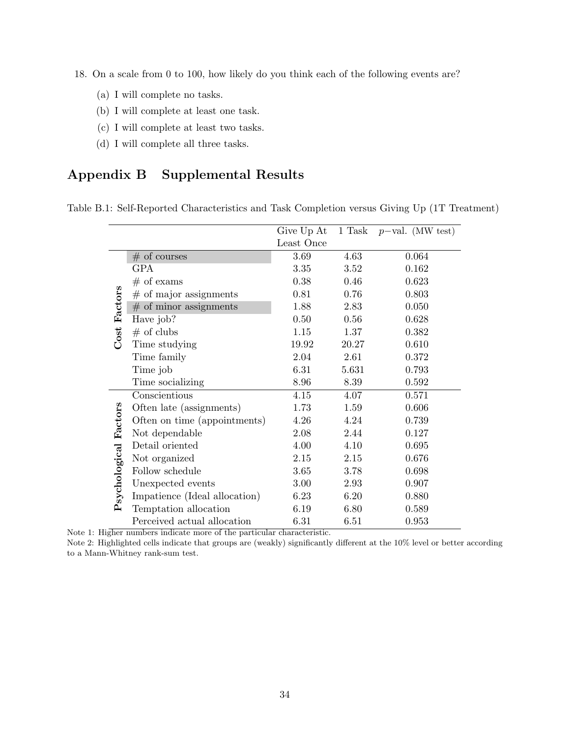- 18. On a scale from 0 to 100, how likely do you think each of the following events are?
	- (a) I will complete no tasks.
	- (b) I will complete at least one task.
	- (c) I will complete at least two tasks.
	- (d) I will complete all three tasks.

# Appendix B Supplemental Results

| Table B.1: Self-Reported Characteristics and Task Completion versus Giving Up (1T Treatment) |  |  |
|----------------------------------------------------------------------------------------------|--|--|
|                                                                                              |  |  |

|                      |                               | Give Up At | 1 Task | $p$ -val. (MW test) |
|----------------------|-------------------------------|------------|--------|---------------------|
|                      |                               | Least Once |        |                     |
|                      | $#$ of courses                | 3.69       | 4.63   | 0.064               |
|                      | <b>GPA</b>                    | 3.35       | 3.52   | 0.162               |
|                      | $#$ of exams                  | 0.38       | 0.46   | 0.623               |
|                      | $#$ of major assignments      | 0.81       | 0.76   | 0.803               |
|                      | # of minor assignments        | 1.88       | 2.83   | 0.050               |
|                      | Have job?                     | 0.50       | 0.56   | 0.628               |
| Cost Factors         | $#$ of clubs                  | 1.15       | 1.37   | 0.382               |
|                      | Time studying                 | 19.92      | 20.27  | 0.610               |
|                      | Time family                   | 2.04       | 2.61   | 0.372               |
|                      | Time job                      | 6.31       | 5.631  | 0.793               |
|                      | Time socializing              | 8.96       | 8.39   | 0.592               |
|                      | Conscientious                 | 4.15       | 4.07   | 0.571               |
|                      | Often late (assignments)      | 1.73       | 1.59   | 0.606               |
|                      | Often on time (appointments)  | 4.26       | 4.24   | 0.739               |
|                      | Not dependable                | 2.08       | 2.44   | 0.127               |
|                      | Detail oriented               | 4.00       | 4.10   | $\,0.695\,$         |
|                      | Not organized                 | 2.15       | 2.15   | 0.676               |
|                      | Follow schedule               | 3.65       | 3.78   | 0.698               |
| sychological Factors | Unexpected events             | 3.00       | 2.93   | 0.907               |
|                      | Impatience (Ideal allocation) | 6.23       | 6.20   | 0.880               |
| $\mathbf{p}$         | Temptation allocation         | 6.19       | 6.80   | 0.589               |
|                      | Perceived actual allocation   | 6.31       | 6.51   | 0.953               |

Note 1: Higher numbers indicate more of the particular characteristic.

Note 2: Highlighted cells indicate that groups are (weakly) significantly different at the 10% level or better according to a Mann-Whitney rank-sum test.